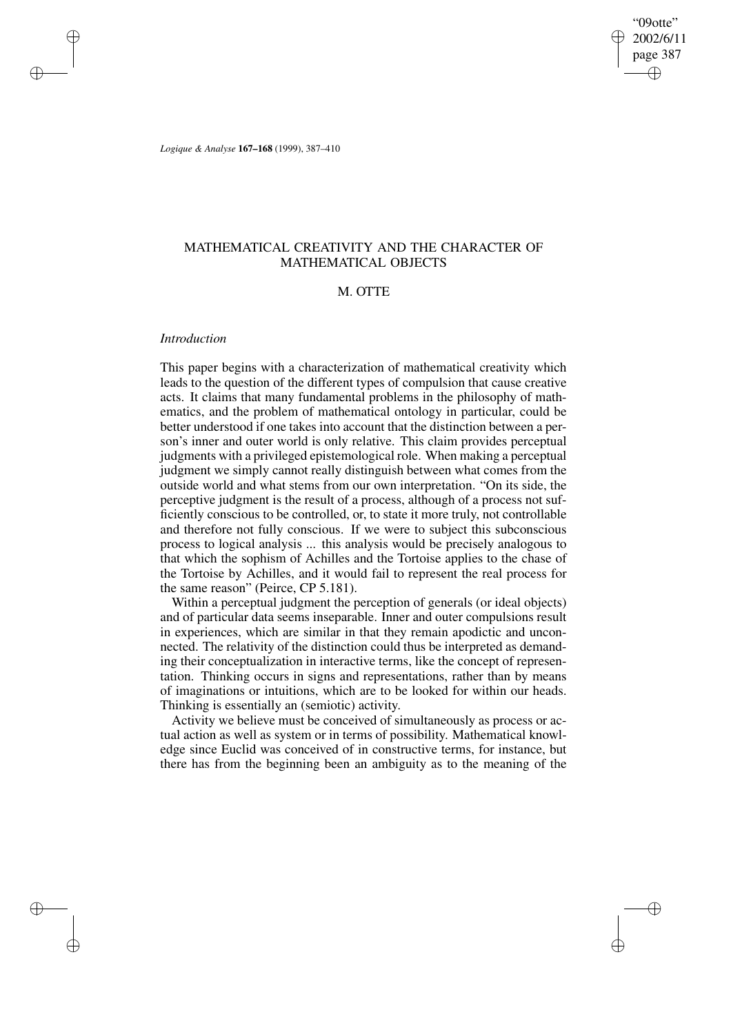"09otte" 2002/6/11 page 387 ✐ ✐

✐

✐

*Logique & Analyse* **167–168** (1999), 387–410

# MATHEMATICAL CREATIVITY AND THE CHARACTER OF MATHEMATICAL OBJECTS

## M. OTTE

## *Introduction*

✐

✐

✐

✐

This paper begins with a characterization of mathematical creativity which leads to the question of the different types of compulsion that cause creative acts. It claims that many fundamental problems in the philosophy of mathematics, and the problem of mathematical ontology in particular, could be better understood if one takes into account that the distinction between a person's inner and outer world is only relative. This claim provides perceptual judgments with a privileged epistemological role. When making a perceptual judgment we simply cannot really distinguish between what comes from the outside world and what stems from our own interpretation. "On its side, the perceptive judgment is the result of a process, although of a process not sufficiently conscious to be controlled, or, to state it more truly, not controllable and therefore not fully conscious. If we were to subject this subconscious process to logical analysis ... this analysis would be precisely analogous to that which the sophism of Achilles and the Tortoise applies to the chase of the Tortoise by Achilles, and it would fail to represent the real process for the same reason" (Peirce, CP 5.181).

Within a perceptual judgment the perception of generals (or ideal objects) and of particular data seems inseparable. Inner and outer compulsions result in experiences, which are similar in that they remain apodictic and unconnected. The relativity of the distinction could thus be interpreted as demanding their conceptualization in interactive terms, like the concept of representation. Thinking occurs in signs and representations, rather than by means of imaginations or intuitions, which are to be looked for within our heads. Thinking is essentially an (semiotic) activity.

Activity we believe must be conceived of simultaneously as process or actual action as well as system or in terms of possibility. Mathematical knowledge since Euclid was conceived of in constructive terms, for instance, but there has from the beginning been an ambiguity as to the meaning of the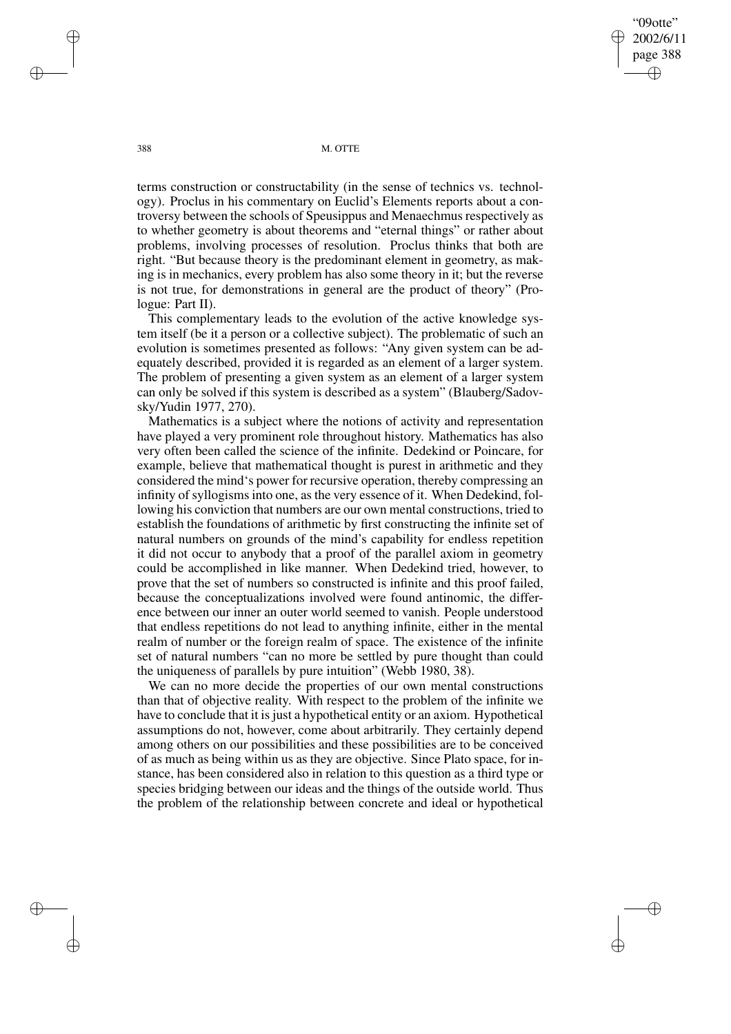"09otte" 2002/6/11 page 388 ✐ ✐

✐

✐

388 M. OTTE

terms construction or constructability (in the sense of technics vs. technology). Proclus in his commentary on Euclid's Elements reports about a controversy between the schools of Speusippus and Menaechmus respectively as to whether geometry is about theorems and "eternal things" or rather about problems, involving processes of resolution. Proclus thinks that both are right. "But because theory is the predominant element in geometry, as making is in mechanics, every problem has also some theory in it; but the reverse is not true, for demonstrations in general are the product of theory" (Prologue: Part II).

This complementary leads to the evolution of the active knowledge system itself (be it a person or a collective subject). The problematic of such an evolution is sometimes presented as follows: "Any given system can be adequately described, provided it is regarded as an element of a larger system. The problem of presenting a given system as an element of a larger system can only be solved if this system is described as a system" (Blauberg/Sadovsky/Yudin 1977, 270).

Mathematics is a subject where the notions of activity and representation have played a very prominent role throughout history. Mathematics has also very often been called the science of the infinite. Dedekind or Poincare, for example, believe that mathematical thought is purest in arithmetic and they considered the mind's power for recursive operation, thereby compressing an infinity of syllogisms into one, as the very essence of it. When Dedekind, following his conviction that numbers are our own mental constructions, tried to establish the foundations of arithmetic by first constructing the infinite set of natural numbers on grounds of the mind's capability for endless repetition it did not occur to anybody that a proof of the parallel axiom in geometry could be accomplished in like manner. When Dedekind tried, however, to prove that the set of numbers so constructed is infinite and this proof failed, because the conceptualizations involved were found antinomic, the difference between our inner an outer world seemed to vanish. People understood that endless repetitions do not lead to anything infinite, either in the mental realm of number or the foreign realm of space. The existence of the infinite set of natural numbers "can no more be settled by pure thought than could the uniqueness of parallels by pure intuition" (Webb 1980, 38).

We can no more decide the properties of our own mental constructions than that of objective reality. With respect to the problem of the infinite we have to conclude that it is just a hypothetical entity or an axiom. Hypothetical assumptions do not, however, come about arbitrarily. They certainly depend among others on our possibilities and these possibilities are to be conceived of as much as being within us as they are objective. Since Plato space, for instance, has been considered also in relation to this question as a third type or species bridging between our ideas and the things of the outside world. Thus the problem of the relationship between concrete and ideal or hypothetical

✐

✐

✐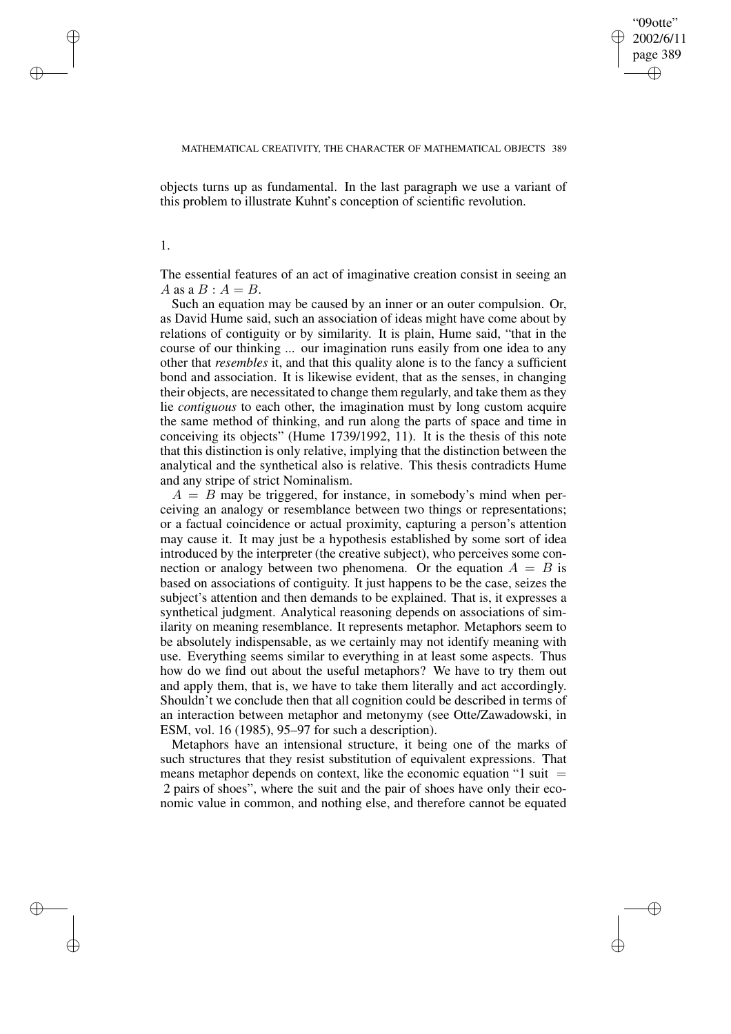## "09otte" 2002/6/11 page 389 ✐ ✐

✐

✐

### MATHEMATICAL CREATIVITY, THE CHARACTER OF MATHEMATICAL OBJECTS 389

objects turns up as fundamental. In the last paragraph we use a variant of this problem to illustrate Kuhnt's conception of scientific revolution.

1.

✐

✐

✐

✐

The essential features of an act of imaginative creation consist in seeing an A as a  $B : A = B$ .

Such an equation may be caused by an inner or an outer compulsion. Or, as David Hume said, such an association of ideas might have come about by relations of contiguity or by similarity. It is plain, Hume said, "that in the course of our thinking ... our imagination runs easily from one idea to any other that *resembles* it, and that this quality alone is to the fancy a sufficient bond and association. It is likewise evident, that as the senses, in changing their objects, are necessitated to change them regularly, and take them asthey lie *contiguous* to each other, the imagination must by long custom acquire the same method of thinking, and run along the parts of space and time in conceiving its objects" (Hume 1739/1992, 11). It is the thesis of this note that this distinction is only relative, implying that the distinction between the analytical and the synthetical also is relative. This thesis contradicts Hume and any stripe of strict Nominalism.

 $A = B$  may be triggered, for instance, in somebody's mind when perceiving an analogy or resemblance between two things or representations; or a factual coincidence or actual proximity, capturing a person's attention may cause it. It may just be a hypothesis established by some sort of idea introduced by the interpreter (the creative subject), who perceives some connection or analogy between two phenomena. Or the equation  $A = B$  is based on associations of contiguity. It just happens to be the case, seizes the subject's attention and then demands to be explained. That is, it expresses a synthetical judgment. Analytical reasoning depends on associations of similarity on meaning resemblance. It represents metaphor. Metaphors seem to be absolutely indispensable, as we certainly may not identify meaning with use. Everything seems similar to everything in at least some aspects. Thus how do we find out about the useful metaphors? We have to try them out and apply them, that is, we have to take them literally and act accordingly. Shouldn't we conclude then that all cognition could be described in terms of an interaction between metaphor and metonymy (see Otte/Zawadowski, in ESM, vol. 16 (1985), 95–97 for such a description).

Metaphors have an intensional structure, it being one of the marks of such structures that they resist substitution of equivalent expressions. That means metaphor depends on context, like the economic equation "1 suit  $=$ 2 pairs of shoes", where the suit and the pair of shoes have only their economic value in common, and nothing else, and therefore cannot be equated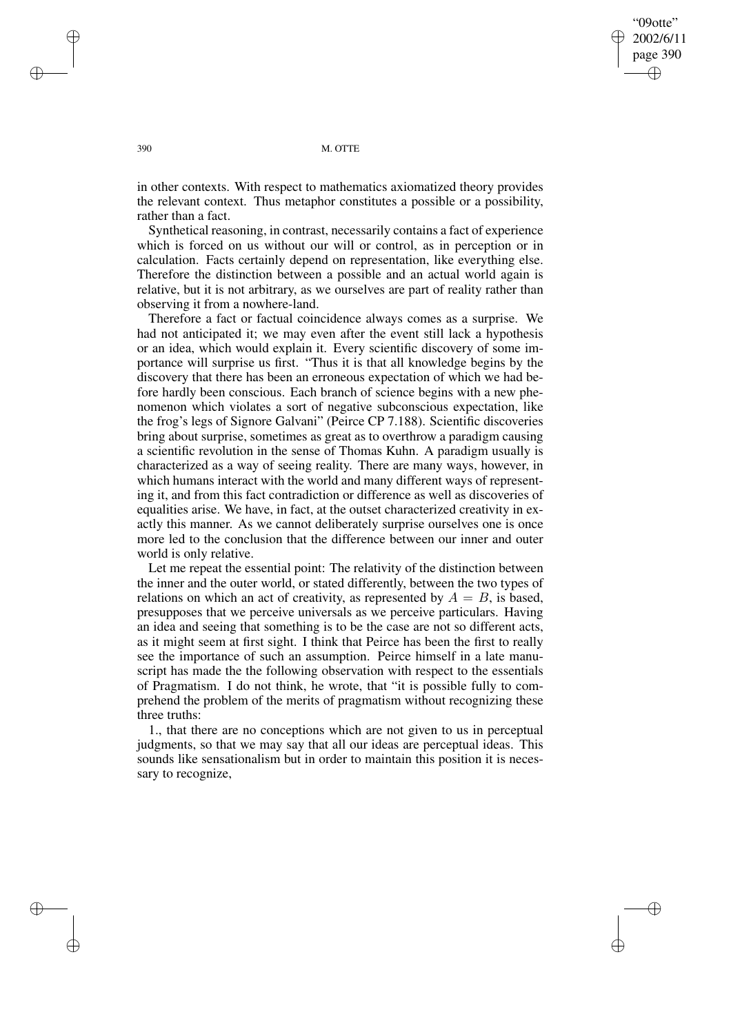"09otte" 2002/6/11 page 390 ✐ ✐

✐

✐

### 390 M. OTTE

in other contexts. With respect to mathematics axiomatized theory provides the relevant context. Thus metaphor constitutes a possible or a possibility, rather than a fact.

Synthetical reasoning, in contrast, necessarily contains a fact of experience which is forced on us without our will or control, as in perception or in calculation. Facts certainly depend on representation, like everything else. Therefore the distinction between a possible and an actual world again is relative, but it is not arbitrary, as we ourselves are part of reality rather than observing it from a nowhere-land.

Therefore a fact or factual coincidence always comes as a surprise. We had not anticipated it; we may even after the event still lack a hypothesis or an idea, which would explain it. Every scientific discovery of some importance will surprise us first. "Thus it is that all knowledge begins by the discovery that there has been an erroneous expectation of which we had before hardly been conscious. Each branch of science begins with a new phenomenon which violates a sort of negative subconscious expectation, like the frog's legs of Signore Galvani" (Peirce CP 7.188). Scientific discoveries bring about surprise, sometimes as great as to overthrow a paradigm causing a scientific revolution in the sense of Thomas Kuhn. A paradigm usually is characterized as a way of seeing reality. There are many ways, however, in which humans interact with the world and many different ways of representing it, and from this fact contradiction or difference as well as discoveries of equalities arise. We have, in fact, at the outset characterized creativity in exactly this manner. As we cannot deliberately surprise ourselves one is once more led to the conclusion that the difference between our inner and outer world is only relative.

Let me repeat the essential point: The relativity of the distinction between the inner and the outer world, or stated differently, between the two types of relations on which an act of creativity, as represented by  $A = B$ , is based, presupposes that we perceive universals as we perceive particulars. Having an idea and seeing that something is to be the case are not so different acts, as it might seem at first sight. I think that Peirce has been the first to really see the importance of such an assumption. Peirce himself in a late manuscript has made the the following observation with respect to the essentials of Pragmatism. I do not think, he wrote, that "it is possible fully to comprehend the problem of the merits of pragmatism without recognizing these three truths:

1., that there are no conceptions which are not given to us in perceptual judgments, so that we may say that all our ideas are perceptual ideas. This sounds like sensationalism but in order to maintain this position it is necessary to recognize,

✐

✐

✐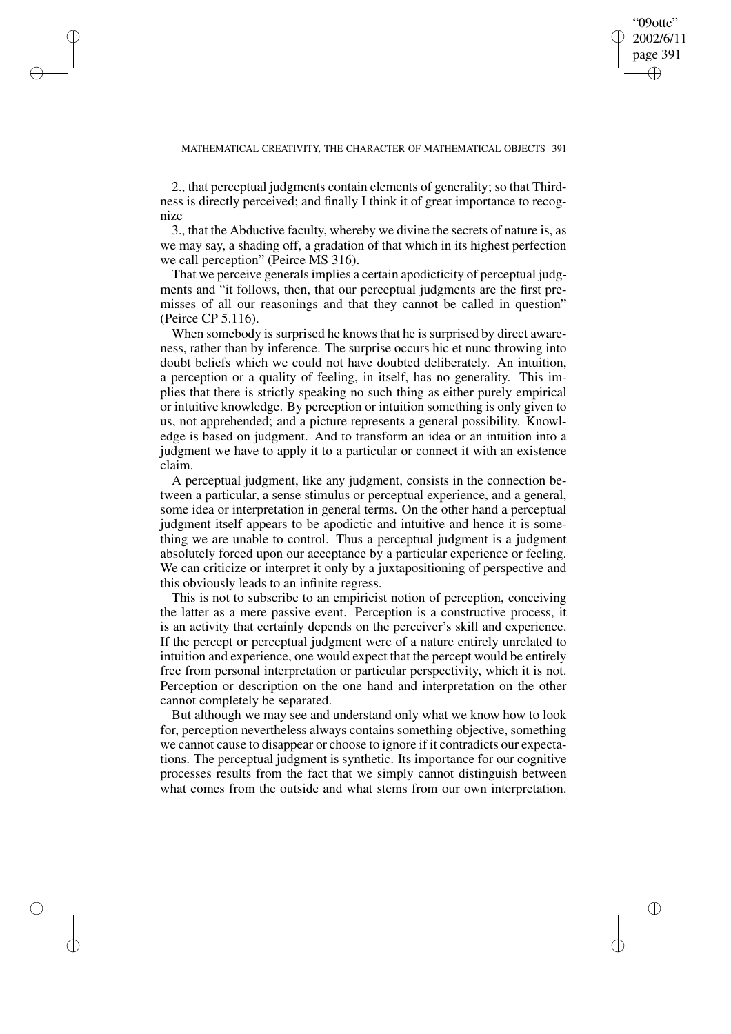## "09otte" 2002/6/11 page 391 ✐ ✐

✐

✐

### MATHEMATICAL CREATIVITY, THE CHARACTER OF MATHEMATICAL OBJECTS 391

✐

✐

✐

✐

2., that perceptual judgments contain elements of generality; so that Thirdness is directly perceived; and finally I think it of great importance to recognize

3., that the Abductive faculty, whereby we divine the secrets of nature is, as we may say, a shading off, a gradation of that which in its highest perfection we call perception" (Peirce MS 316).

That we perceive generals implies a certain apodicticity of perceptual judgments and "it follows, then, that our perceptual judgments are the first premisses of all our reasonings and that they cannot be called in question" (Peirce CP 5.116).

When somebody is surprised he knows that he is surprised by direct awareness, rather than by inference. The surprise occurs hic et nunc throwing into doubt beliefs which we could not have doubted deliberately. An intuition, a perception or a quality of feeling, in itself, has no generality. This implies that there is strictly speaking no such thing as either purely empirical or intuitive knowledge. By perception or intuition something is only given to us, not apprehended; and a picture represents a general possibility. Knowledge is based on judgment. And to transform an idea or an intuition into a judgment we have to apply it to a particular or connect it with an existence claim.

A perceptual judgment, like any judgment, consists in the connection between a particular, a sense stimulus or perceptual experience, and a general, some idea or interpretation in general terms. On the other hand a perceptual judgment itself appears to be apodictic and intuitive and hence it is something we are unable to control. Thus a perceptual judgment is a judgment absolutely forced upon our acceptance by a particular experience or feeling. We can criticize or interpret it only by a juxtapositioning of perspective and this obviously leads to an infinite regress.

This is not to subscribe to an empiricist notion of perception, conceiving the latter as a mere passive event. Perception is a constructive process, it is an activity that certainly depends on the perceiver's skill and experience. If the percept or perceptual judgment were of a nature entirely unrelated to intuition and experience, one would expect that the percept would be entirely free from personal interpretation or particular perspectivity, which it is not. Perception or description on the one hand and interpretation on the other cannot completely be separated.

But although we may see and understand only what we know how to look for, perception nevertheless always contains something objective, something we cannot cause to disappear or choose to ignore if it contradicts our expectations. The perceptual judgment is synthetic. Its importance for our cognitive processes results from the fact that we simply cannot distinguish between what comes from the outside and what stems from our own interpretation.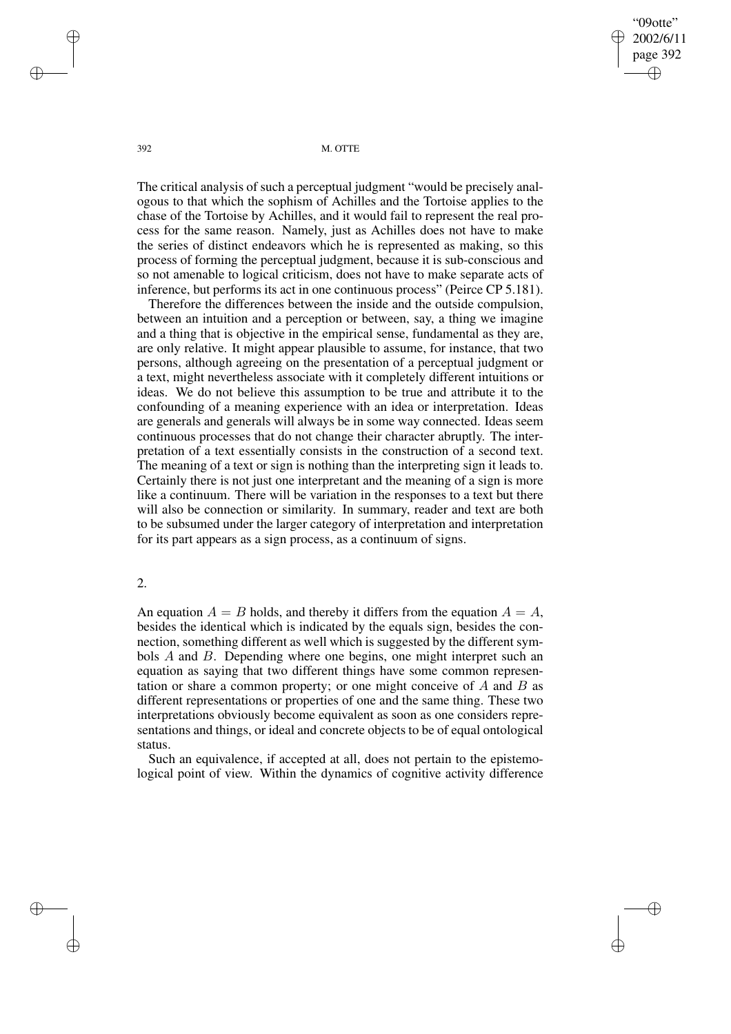"09otte" 2002/6/11 page 392 ✐ ✐

✐

✐

392 M. OTTE

The critical analysis of such a perceptual judgment "would be precisely analogous to that which the sophism of Achilles and the Tortoise applies to the chase of the Tortoise by Achilles, and it would fail to represent the real process for the same reason. Namely, just as Achilles does not have to make the series of distinct endeavors which he is represented as making, so this process of forming the perceptual judgment, because it is sub-conscious and so not amenable to logical criticism, does not have to make separate acts of inference, but performs its act in one continuous process" (Peirce CP 5.181).

Therefore the differences between the inside and the outside compulsion, between an intuition and a perception or between, say, a thing we imagine and a thing that is objective in the empirical sense, fundamental as they are, are only relative. It might appear plausible to assume, for instance, that two persons, although agreeing on the presentation of a perceptual judgment or a text, might nevertheless associate with it completely different intuitions or ideas. We do not believe this assumption to be true and attribute it to the confounding of a meaning experience with an idea or interpretation. Ideas are generals and generals will always be in some way connected. Ideas seem continuous processes that do not change their character abruptly. The interpretation of a text essentially consists in the construction of a second text. The meaning of a text or sign is nothing than the interpreting sign it leads to. Certainly there is not just one interpretant and the meaning of a sign is more like a continuum. There will be variation in the responses to a text but there will also be connection or similarity. In summary, reader and text are both to be subsumed under the larger category of interpretation and interpretation for its part appears as a sign process, as a continuum of signs.

## 2.

✐

✐

An equation  $A = B$  holds, and thereby it differs from the equation  $A = A$ , besides the identical which is indicated by the equals sign, besides the connection, something different as well which is suggested by the different symbols A and B. Depending where one begins, one might interpret such an equation as saying that two different things have some common representation or share a common property; or one might conceive of  $A$  and  $B$  as different representations or properties of one and the same thing. These two interpretations obviously become equivalent as soon as one considers representations and things, or ideal and concrete objects to be of equal ontological status.

Such an equivalence, if accepted at all, does not pertain to the epistemological point of view. Within the dynamics of cognitive activity difference

✐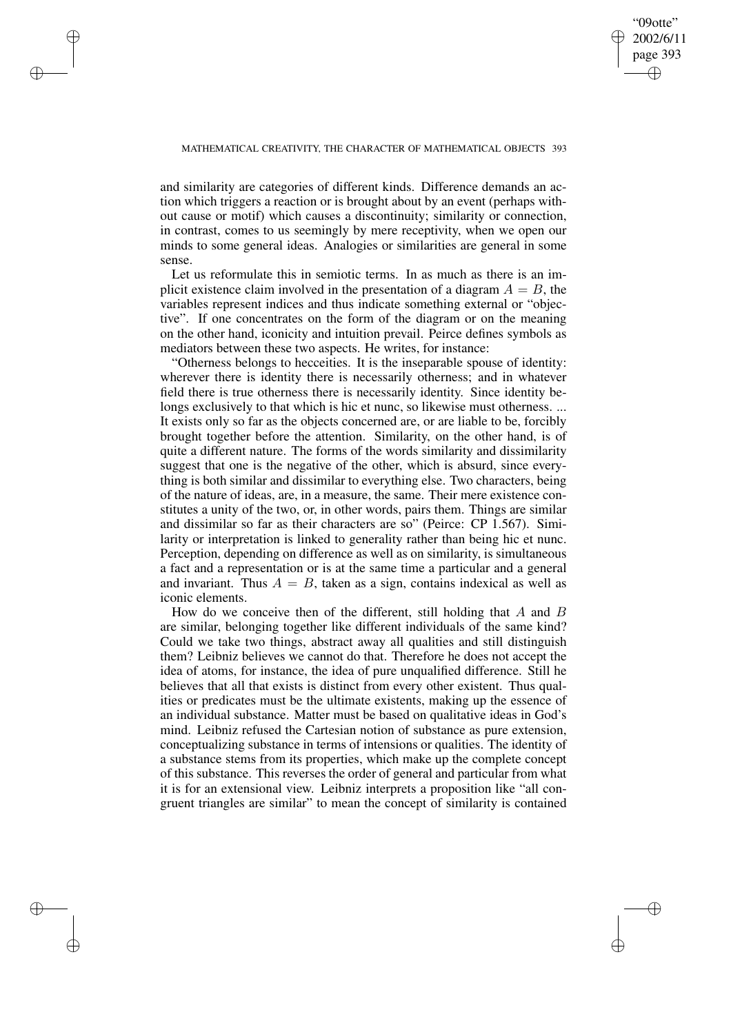## "09otte" 2002/6/11 page 393 ✐ ✐

✐

✐

### MATHEMATICAL CREATIVITY, THE CHARACTER OF MATHEMATICAL OBJECTS 393

✐

✐

✐

✐

and similarity are categories of different kinds. Difference demands an action which triggers a reaction or is brought about by an event (perhaps without cause or motif) which causes a discontinuity; similarity or connection, in contrast, comes to us seemingly by mere receptivity, when we open our minds to some general ideas. Analogies or similarities are general in some sense.

Let us reformulate this in semiotic terms. In as much as there is an implicit existence claim involved in the presentation of a diagram  $A = B$ , the variables represent indices and thus indicate something external or "objective". If one concentrates on the form of the diagram or on the meaning on the other hand, iconicity and intuition prevail. Peirce defines symbols as mediators between these two aspects. He writes, for instance:

"Otherness belongs to hecceities. It is the inseparable spouse of identity: wherever there is identity there is necessarily otherness; and in whatever field there is true otherness there is necessarily identity. Since identity belongs exclusively to that which is hic et nunc, so likewise must otherness. ... It exists only so far as the objects concerned are, or are liable to be, forcibly brought together before the attention. Similarity, on the other hand, is of quite a different nature. The forms of the words similarity and dissimilarity suggest that one is the negative of the other, which is absurd, since everything is both similar and dissimilar to everything else. Two characters, being of the nature of ideas, are, in a measure, the same. Their mere existence constitutes a unity of the two, or, in other words, pairs them. Things are similar and dissimilar so far as their characters are so" (Peirce: CP 1.567). Similarity or interpretation is linked to generality rather than being hic et nunc. Perception, depending on difference as well as on similarity, is simultaneous a fact and a representation or is at the same time a particular and a general and invariant. Thus  $A = B$ , taken as a sign, contains indexical as well as iconic elements.

How do we conceive then of the different, still holding that  $A$  and  $B$ are similar, belonging together like different individuals of the same kind? Could we take two things, abstract away all qualities and still distinguish them? Leibniz believes we cannot do that. Therefore he does not accept the idea of atoms, for instance, the idea of pure unqualified difference. Still he believes that all that exists is distinct from every other existent. Thus qualities or predicates must be the ultimate existents, making up the essence of an individual substance. Matter must be based on qualitative ideas in God's mind. Leibniz refused the Cartesian notion of substance as pure extension, conceptualizing substance in terms of intensions or qualities. The identity of a substance stems from its properties, which make up the complete concept of this substance. This reverses the order of general and particular from what it is for an extensional view. Leibniz interprets a proposition like "all congruent triangles are similar" to mean the concept of similarity is contained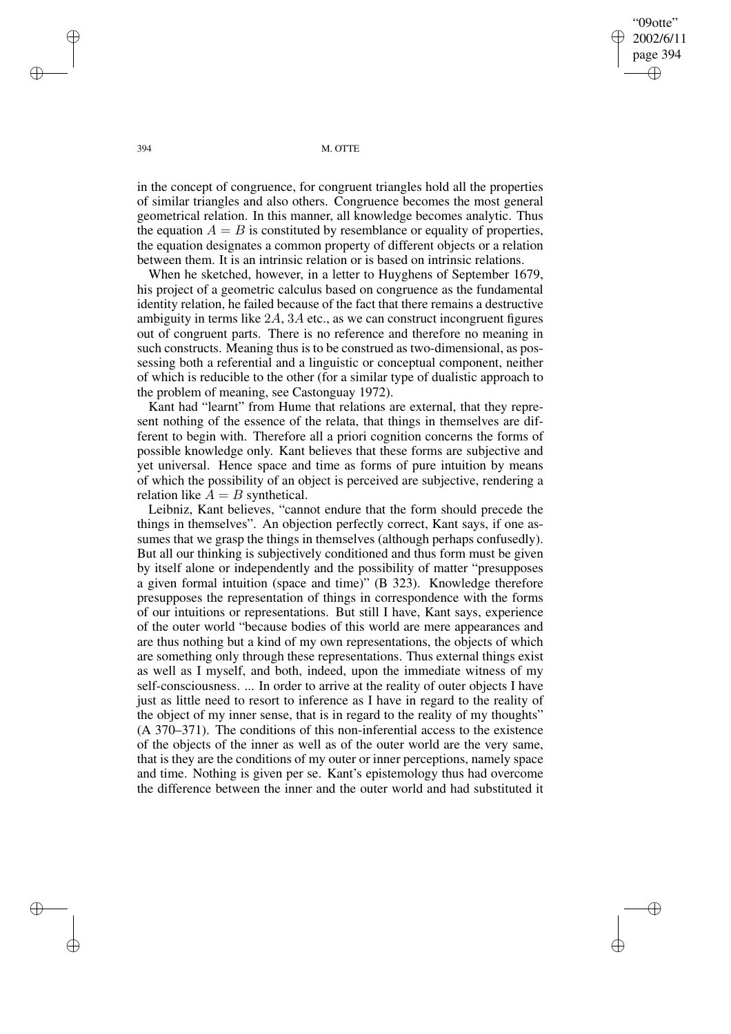"09otte" 2002/6/11 page 394 ✐ ✐

✐

394 M. OTTE

in the concept of congruence, for congruent triangles hold all the properties of similar triangles and also others. Congruence becomes the most general geometrical relation. In this manner, all knowledge becomes analytic. Thus the equation  $A = B$  is constituted by resemblance or equality of properties, the equation designates a common property of different objects or a relation between them. It is an intrinsic relation or is based on intrinsic relations.

When he sketched, however, in a letter to Huyghens of September 1679, his project of a geometric calculus based on congruence as the fundamental identity relation, he failed because of the fact that there remains a destructive ambiguity in terms like 2A, 3A etc., as we can construct incongruent figures out of congruent parts. There is no reference and therefore no meaning in such constructs. Meaning thus is to be construed as two-dimensional, as possessing both a referential and a linguistic or conceptual component, neither of which is reducible to the other (for a similar type of dualistic approach to the problem of meaning, see Castonguay 1972).

Kant had "learnt" from Hume that relations are external, that they represent nothing of the essence of the relata, that things in themselves are different to begin with. Therefore all a priori cognition concerns the forms of possible knowledge only. Kant believes that these forms are subjective and yet universal. Hence space and time as forms of pure intuition by means of which the possibility of an object is perceived are subjective, rendering a relation like  $A = B$  synthetical.

Leibniz, Kant believes, "cannot endure that the form should precede the things in themselves". An objection perfectly correct, Kant says, if one assumes that we grasp the things in themselves (although perhaps confusedly). But all our thinking is subjectively conditioned and thus form must be given by itself alone or independently and the possibility of matter "presupposes a given formal intuition (space and time)" (B 323). Knowledge therefore presupposes the representation of things in correspondence with the forms of our intuitions or representations. But still I have, Kant says, experience of the outer world "because bodies of this world are mere appearances and are thus nothing but a kind of my own representations, the objects of which are something only through these representations. Thus external things exist as well as I myself, and both, indeed, upon the immediate witness of my self-consciousness. ... In order to arrive at the reality of outer objects I have just as little need to resort to inference as I have in regard to the reality of the object of my inner sense, that is in regard to the reality of my thoughts" (A 370–371). The conditions of this non-inferential access to the existence of the objects of the inner as well as of the outer world are the very same, that is they are the conditions of my outer or inner perceptions, namely space and time. Nothing is given per se. Kant's epistemology thus had overcome the difference between the inner and the outer world and had substituted it

✐

✐

✐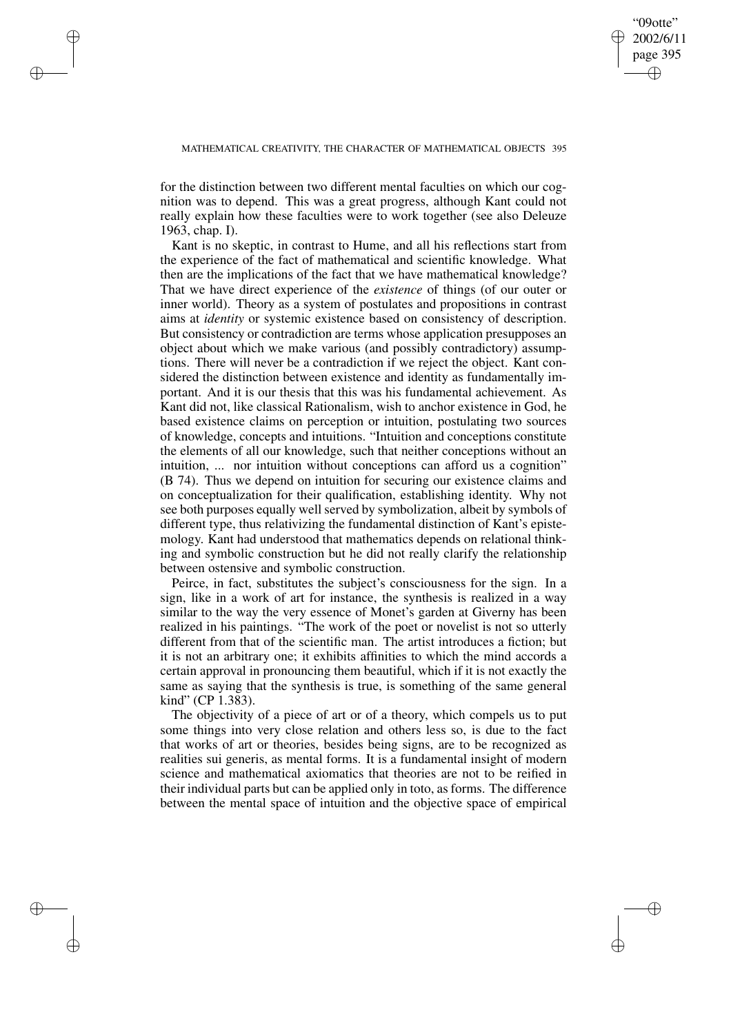## "09otte" 2002/6/11 page 395 ✐ ✐

✐

✐

### MATHEMATICAL CREATIVITY, THE CHARACTER OF MATHEMATICAL OBJECTS 395

✐

✐

✐

✐

for the distinction between two different mental faculties on which our cognition was to depend. This was a great progress, although Kant could not really explain how these faculties were to work together (see also Deleuze 1963, chap. I).

Kant is no skeptic, in contrast to Hume, and all his reflections start from the experience of the fact of mathematical and scientific knowledge. What then are the implications of the fact that we have mathematical knowledge? That we have direct experience of the *existence* of things (of our outer or inner world). Theory as a system of postulates and propositions in contrast aims at *identity* or systemic existence based on consistency of description. But consistency or contradiction are terms whose application presupposes an object about which we make various (and possibly contradictory) assumptions. There will never be a contradiction if we reject the object. Kant considered the distinction between existence and identity as fundamentally important. And it is our thesis that this was his fundamental achievement. As Kant did not, like classical Rationalism, wish to anchor existence in God, he based existence claims on perception or intuition, postulating two sources of knowledge, concepts and intuitions. "Intuition and conceptions constitute the elements of all our knowledge, such that neither conceptions without an intuition, ... nor intuition without conceptions can afford us a cognition" (B 74). Thus we depend on intuition for securing our existence claims and on conceptualization for their qualification, establishing identity. Why not see both purposes equally well served by symbolization, albeit by symbols of different type, thus relativizing the fundamental distinction of Kant's epistemology. Kant had understood that mathematics depends on relational thinking and symbolic construction but he did not really clarify the relationship between ostensive and symbolic construction.

Peirce, in fact, substitutes the subject's consciousness for the sign. In a sign, like in a work of art for instance, the synthesis is realized in a way similar to the way the very essence of Monet's garden at Giverny has been realized in his paintings. "The work of the poet or novelist is not so utterly different from that of the scientific man. The artist introduces a fiction; but it is not an arbitrary one; it exhibits affinities to which the mind accords a certain approval in pronouncing them beautiful, which if it is not exactly the same as saying that the synthesis is true, is something of the same general kind" (CP 1.383).

The objectivity of a piece of art or of a theory, which compels us to put some things into very close relation and others less so, is due to the fact that works of art or theories, besides being signs, are to be recognized as realities sui generis, as mental forms. It is a fundamental insight of modern science and mathematical axiomatics that theories are not to be reified in their individual parts but can be applied only in toto, as forms. The difference between the mental space of intuition and the objective space of empirical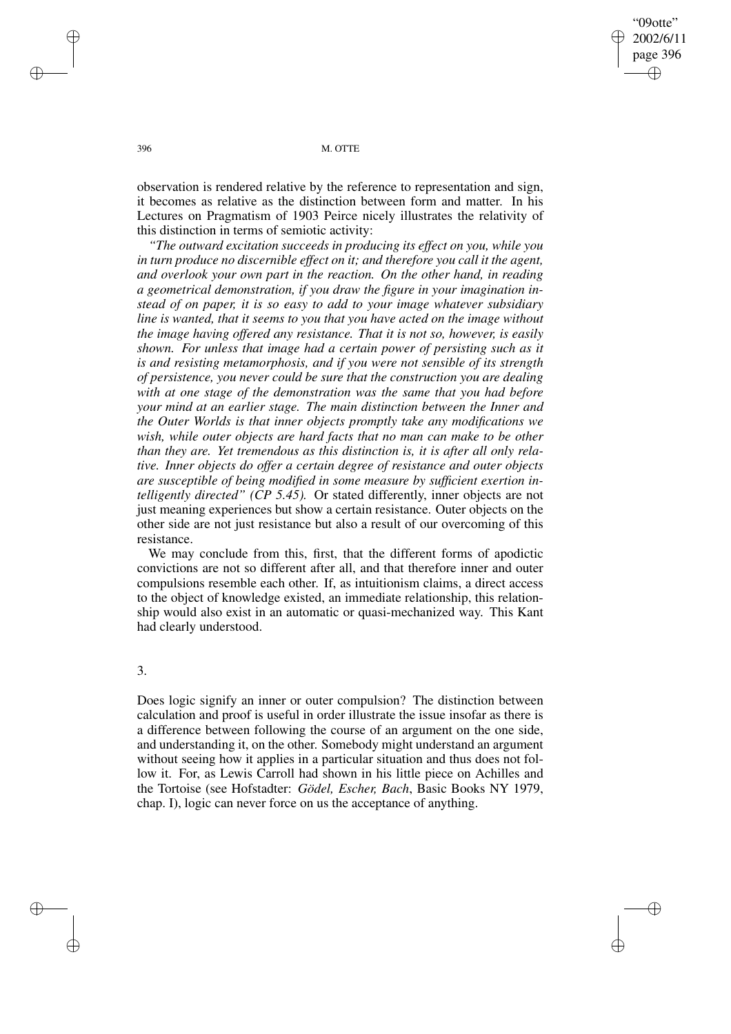"09otte" 2002/6/11 page 396 ✐ ✐

✐

396 M. OTTE

observation is rendered relative by the reference to representation and sign, it becomes as relative as the distinction between form and matter. In his Lectures on Pragmatism of 1903 Peirce nicely illustrates the relativity of this distinction in terms of semiotic activity:

*"The outward excitation succeeds in producing its effect on you, while you in turn produce no discernible effect on it; and therefore you call it the agent, and overlook your own part in the reaction. On the other hand, in reading a geometrical demonstration, if you draw the figure in your imagination instead of on paper, it is so easy to add to your image whatever subsidiary line is wanted, that it seems to you that you have acted on the image without the image having offered any resistance. That it is not so, however, is easily shown. For unless that image had a certain power of persisting such as it is and resisting metamorphosis, and if you were not sensible of its strength of persistence, you never could be sure that the construction you are dealing with at one stage of the demonstration was the same that you had before your mind at an earlier stage. The main distinction between the Inner and the Outer Worlds is that inner objects promptly take any modifications we wish, while outer objects are hard facts that no man can make to be other than they are. Yet tremendous as this distinction is, it is after all only relative. Inner objects do offer a certain degree of resistance and outer objects are susceptible of being modified in some measure by sufficient exertion intelligently directed" (CP 5.45).* Or stated differently, inner objects are not just meaning experiences but show a certain resistance. Outer objects on the other side are not just resistance but also a result of our overcoming of this resistance.

We may conclude from this, first, that the different forms of apodictic convictions are not so different after all, and that therefore inner and outer compulsions resemble each other. If, as intuitionism claims, a direct access to the object of knowledge existed, an immediate relationship, this relationship would also exist in an automatic or quasi-mechanized way. This Kant had clearly understood.

### 3.

✐

✐

Does logic signify an inner or outer compulsion? The distinction between calculation and proof is useful in order illustrate the issue insofar as there is a difference between following the course of an argument on the one side, and understanding it, on the other. Somebody might understand an argument without seeing how it applies in a particular situation and thus does not follow it. For, as Lewis Carroll had shown in his little piece on Achilles and the Tortoise (see Hofstadter: *Gödel, Escher, Bach*, Basic Books NY 1979, chap. I), logic can never force on us the acceptance of anything.

✐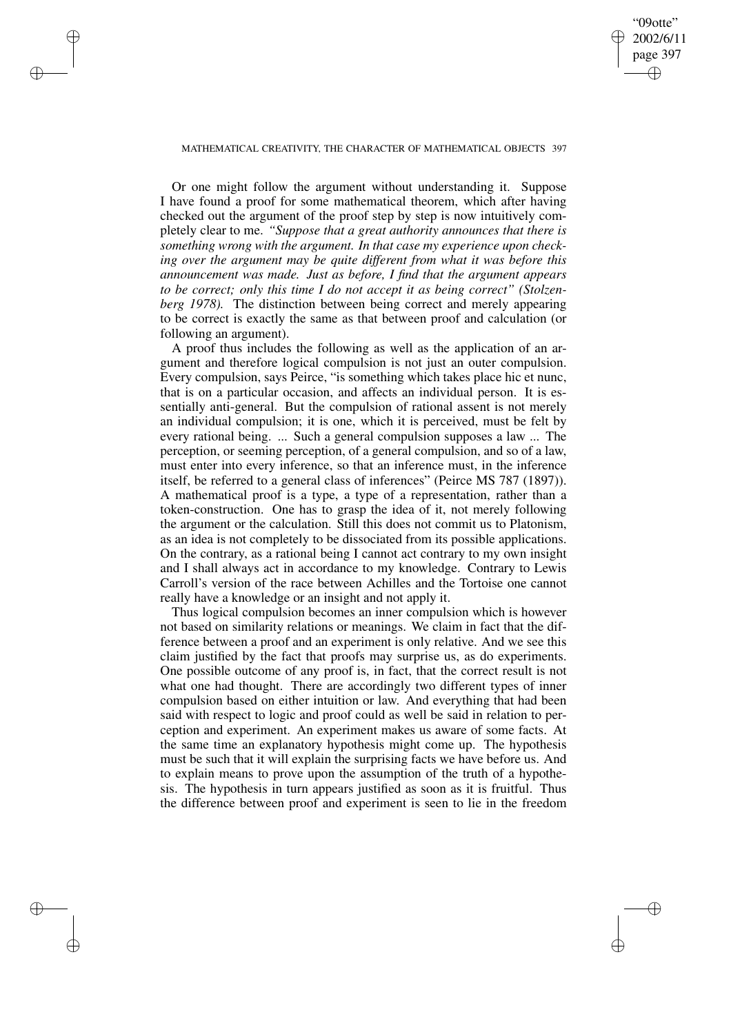# MATHEMATICAL CREATIVITY, THE CHARACTER OF MATHEMATICAL OBJECTS 397

"09otte" 2002/6/11 page 397

✐

✐

✐

✐

Or one might follow the argument without understanding it. Suppose I have found a proof for some mathematical theorem, which after having checked out the argument of the proof step by step is now intuitively completely clear to me. *"Suppose that a great authority announces that there is something wrong with the argument. In that case my experience upon checking over the argument may be quite different from what it was before this announcement was made. Just as before, I find that the argument appears to be correct; only this time I do not accept it as being correct" (Stolzenberg 1978).* The distinction between being correct and merely appearing to be correct is exactly the same as that between proof and calculation (or following an argument).

✐

✐

✐

✐

A proof thus includes the following as well as the application of an argument and therefore logical compulsion is not just an outer compulsion. Every compulsion, says Peirce, "is something which takes place hic et nunc, that is on a particular occasion, and affects an individual person. It is essentially anti-general. But the compulsion of rational assent is not merely an individual compulsion; it is one, which it is perceived, must be felt by every rational being. ... Such a general compulsion supposes a law ... The perception, or seeming perception, of a general compulsion, and so of a law, must enter into every inference, so that an inference must, in the inference itself, be referred to a general class of inferences" (Peirce MS 787 (1897)). A mathematical proof is a type, a type of a representation, rather than a token-construction. One has to grasp the idea of it, not merely following the argument or the calculation. Still this does not commit us to Platonism, as an idea is not completely to be dissociated from its possible applications. On the contrary, as a rational being I cannot act contrary to my own insight and I shall always act in accordance to my knowledge. Contrary to Lewis Carroll's version of the race between Achilles and the Tortoise one cannot really have a knowledge or an insight and not apply it.

Thus logical compulsion becomes an inner compulsion which is however not based on similarity relations or meanings. We claim in fact that the difference between a proof and an experiment is only relative. And we see this claim justified by the fact that proofs may surprise us, as do experiments. One possible outcome of any proof is, in fact, that the correct result is not what one had thought. There are accordingly two different types of inner compulsion based on either intuition or law. And everything that had been said with respect to logic and proof could as well be said in relation to perception and experiment. An experiment makes us aware of some facts. At the same time an explanatory hypothesis might come up. The hypothesis must be such that it will explain the surprising facts we have before us. And to explain means to prove upon the assumption of the truth of a hypothesis. The hypothesis in turn appears justified as soon as it is fruitful. Thus the difference between proof and experiment is seen to lie in the freedom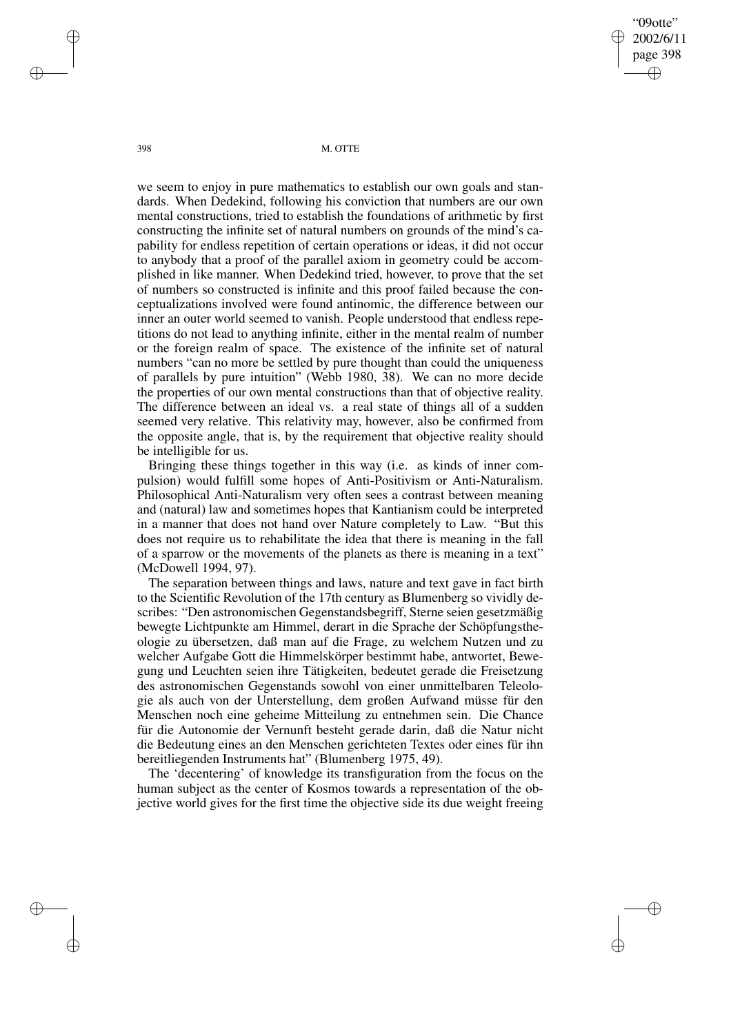"09otte" 2002/6/11 page 398 ✐ ✐

✐

✐

398 M. OTTE

we seem to enjoy in pure mathematics to establish our own goals and standards. When Dedekind, following his conviction that numbers are our own mental constructions, tried to establish the foundations of arithmetic by first constructing the infinite set of natural numbers on grounds of the mind's capability for endless repetition of certain operations or ideas, it did not occur to anybody that a proof of the parallel axiom in geometry could be accomplished in like manner. When Dedekind tried, however, to prove that the set of numbers so constructed is infinite and this proof failed because the conceptualizations involved were found antinomic, the difference between our inner an outer world seemed to vanish. People understood that endless repetitions do not lead to anything infinite, either in the mental realm of number or the foreign realm of space. The existence of the infinite set of natural numbers "can no more be settled by pure thought than could the uniqueness of parallels by pure intuition" (Webb 1980, 38). We can no more decide the properties of our own mental constructions than that of objective reality. The difference between an ideal vs. a real state of things all of a sudden seemed very relative. This relativity may, however, also be confirmed from the opposite angle, that is, by the requirement that objective reality should be intelligible for us.

Bringing these things together in this way (i.e. as kinds of inner compulsion) would fulfill some hopes of Anti-Positivism or Anti-Naturalism. Philosophical Anti-Naturalism very often sees a contrast between meaning and (natural) law and sometimes hopes that Kantianism could be interpreted in a manner that does not hand over Nature completely to Law. "But this does not require us to rehabilitate the idea that there is meaning in the fall of a sparrow or the movements of the planets as there is meaning in a text" (McDowell 1994, 97).

The separation between things and laws, nature and text gave in fact birth to the Scientific Revolution of the 17th century as Blumenberg so vividly describes: "Den astronomischen Gegenstandsbegriff, Sterne seien gesetzmäßig bewegte Lichtpunkte am Himmel, derart in die Sprache der Schöpfungstheologie zu übersetzen, daß man auf die Frage, zu welchem Nutzen und zu welcher Aufgabe Gott die Himmelskörper bestimmt habe, antwortet, Bewegung und Leuchten seien ihre Tätigkeiten, bedeutet gerade die Freisetzung des astronomischen Gegenstands sowohl von einer unmittelbaren Teleologie als auch von der Unterstellung, dem großen Aufwand müsse für den Menschen noch eine geheime Mitteilung zu entnehmen sein. Die Chance für die Autonomie der Vernunft besteht gerade darin, daß die Natur nicht die Bedeutung eines an den Menschen gerichteten Textes oder eines für ihn bereitliegenden Instruments hat" (Blumenberg 1975, 49).

The 'decentering' of knowledge its transfiguration from the focus on the human subject as the center of Kosmos towards a representation of the objective world gives for the first time the objective side its due weight freeing

✐

✐

✐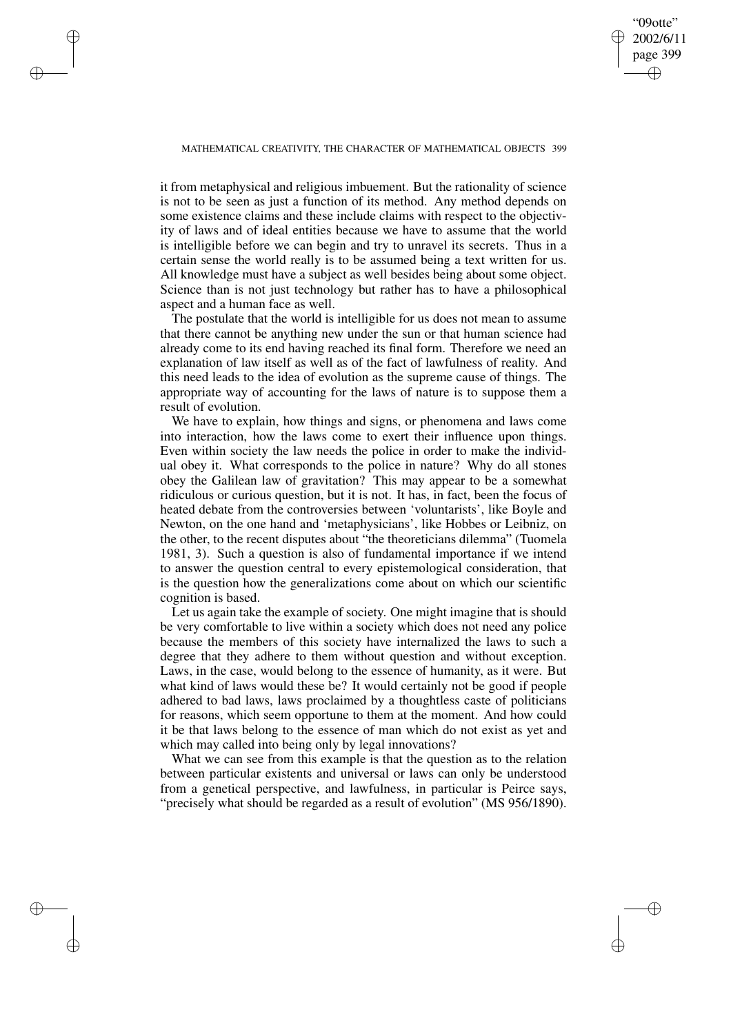#### MATHEMATICAL CREATIVITY, THE CHARACTER OF MATHEMATICAL OBJECTS 399

✐

✐

✐

✐

"09otte" 2002/6/11 page 399

✐

✐

✐

✐

it from metaphysical and religious imbuement. But the rationality of science is not to be seen as just a function of its method. Any method depends on some existence claims and these include claims with respect to the objectivity of laws and of ideal entities because we have to assume that the world is intelligible before we can begin and try to unravel its secrets. Thus in a certain sense the world really is to be assumed being a text written for us. All knowledge must have a subject as well besides being about some object. Science than is not just technology but rather has to have a philosophical aspect and a human face as well.

The postulate that the world is intelligible for us does not mean to assume that there cannot be anything new under the sun or that human science had already come to its end having reached its final form. Therefore we need an explanation of law itself as well as of the fact of lawfulness of reality. And this need leads to the idea of evolution as the supreme cause of things. The appropriate way of accounting for the laws of nature is to suppose them a result of evolution.

We have to explain, how things and signs, or phenomena and laws come into interaction, how the laws come to exert their influence upon things. Even within society the law needs the police in order to make the individual obey it. What corresponds to the police in nature? Why do all stones obey the Galilean law of gravitation? This may appear to be a somewhat ridiculous or curious question, but it is not. It has, in fact, been the focus of heated debate from the controversies between 'voluntarists', like Boyle and Newton, on the one hand and 'metaphysicians', like Hobbes or Leibniz, on the other, to the recent disputes about "the theoreticians dilemma" (Tuomela 1981, 3). Such a question is also of fundamental importance if we intend to answer the question central to every epistemological consideration, that is the question how the generalizations come about on which our scientific cognition is based.

Let us again take the example of society. One might imagine that is should be very comfortable to live within a society which does not need any police because the members of this society have internalized the laws to such a degree that they adhere to them without question and without exception. Laws, in the case, would belong to the essence of humanity, as it were. But what kind of laws would these be? It would certainly not be good if people adhered to bad laws, laws proclaimed by a thoughtless caste of politicians for reasons, which seem opportune to them at the moment. And how could it be that laws belong to the essence of man which do not exist as yet and which may called into being only by legal innovations?

What we can see from this example is that the question as to the relation between particular existents and universal or laws can only be understood from a genetical perspective, and lawfulness, in particular is Peirce says, "precisely what should be regarded as a result of evolution" (MS 956/1890).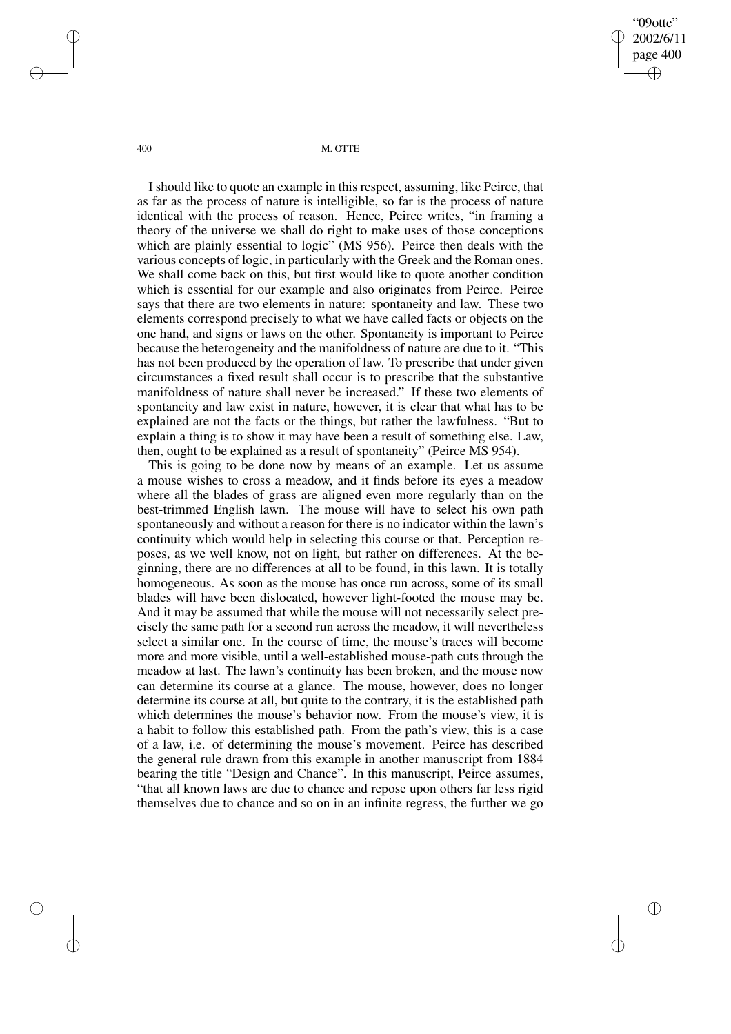"09otte" 2002/6/11 page 400 ✐ ✐

✐

✐

400 M. OTTE

I should like to quote an example in this respect, assuming, like Peirce, that as far as the process of nature is intelligible, so far is the process of nature identical with the process of reason. Hence, Peirce writes, "in framing a theory of the universe we shall do right to make uses of those conceptions which are plainly essential to logic" (MS 956). Peirce then deals with the various concepts of logic, in particularly with the Greek and the Roman ones. We shall come back on this, but first would like to quote another condition which is essential for our example and also originates from Peirce. Peirce says that there are two elements in nature: spontaneity and law. These two elements correspond precisely to what we have called facts or objects on the one hand, and signs or laws on the other. Spontaneity is important to Peirce because the heterogeneity and the manifoldness of nature are due to it. "This has not been produced by the operation of law. To prescribe that under given circumstances a fixed result shall occur is to prescribe that the substantive manifoldness of nature shall never be increased." If these two elements of spontaneity and law exist in nature, however, it is clear that what has to be explained are not the facts or the things, but rather the lawfulness. "But to explain a thing is to show it may have been a result of something else. Law, then, ought to be explained as a result of spontaneity" (Peirce MS 954).

This is going to be done now by means of an example. Let us assume a mouse wishes to cross a meadow, and it finds before its eyes a meadow where all the blades of grass are aligned even more regularly than on the best-trimmed English lawn. The mouse will have to select his own path spontaneously and without a reason for there is no indicator within the lawn's continuity which would help in selecting this course or that. Perception reposes, as we well know, not on light, but rather on differences. At the beginning, there are no differences at all to be found, in this lawn. It is totally homogeneous. As soon as the mouse has once run across, some of its small blades will have been dislocated, however light-footed the mouse may be. And it may be assumed that while the mouse will not necessarily select precisely the same path for a second run across the meadow, it will nevertheless select a similar one. In the course of time, the mouse's traces will become more and more visible, until a well-established mouse-path cuts through the meadow at last. The lawn's continuity has been broken, and the mouse now can determine its course at a glance. The mouse, however, does no longer determine its course at all, but quite to the contrary, it is the established path which determines the mouse's behavior now. From the mouse's view, it is a habit to follow this established path. From the path's view, this is a case of a law, i.e. of determining the mouse's movement. Peirce has described the general rule drawn from this example in another manuscript from 1884 bearing the title "Design and Chance". In this manuscript, Peirce assumes, "that all known laws are due to chance and repose upon others far less rigid themselves due to chance and so on in an infinite regress, the further we go

✐

✐

✐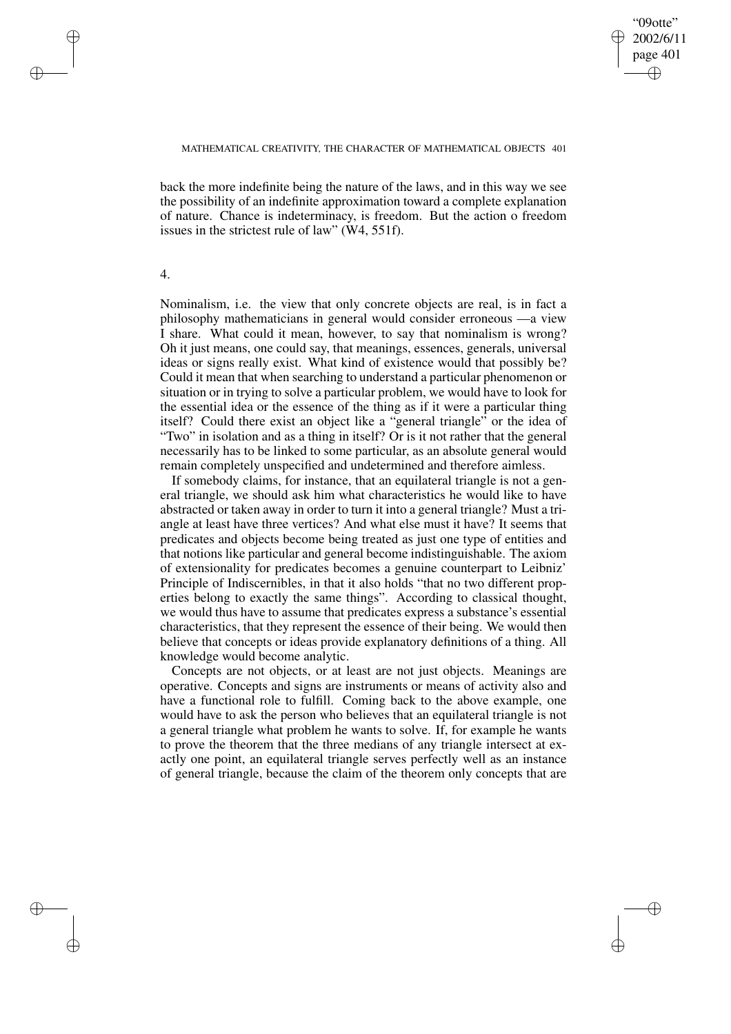✐

### MATHEMATICAL CREATIVITY, THE CHARACTER OF MATHEMATICAL OBJECTS 401

back the more indefinite being the nature of the laws, and in this way we see the possibility of an indefinite approximation toward a complete explanation of nature. Chance is indeterminacy, is freedom. But the action o freedom issues in the strictest rule of law" (W4, 551f).

4.

✐

✐

✐

✐

Nominalism, i.e. the view that only concrete objects are real, is in fact a philosophy mathematicians in general would consider erroneous —a view I share. What could it mean, however, to say that nominalism is wrong? Oh it just means, one could say, that meanings, essences, generals, universal ideas or signs really exist. What kind of existence would that possibly be? Could it mean that when searching to understand a particular phenomenon or situation or in trying to solve a particular problem, we would have to look for the essential idea or the essence of the thing as if it were a particular thing itself? Could there exist an object like a "general triangle" or the idea of "Two" in isolation and as a thing in itself? Or is it not rather that the general necessarily has to be linked to some particular, as an absolute general would remain completely unspecified and undetermined and therefore aimless.

If somebody claims, for instance, that an equilateral triangle is not a general triangle, we should ask him what characteristics he would like to have abstracted or taken away in order to turn it into a general triangle? Must a triangle at least have three vertices? And what else must it have? It seems that predicates and objects become being treated as just one type of entities and that notions like particular and general become indistinguishable. The axiom of extensionality for predicates becomes a genuine counterpart to Leibniz' Principle of Indiscernibles, in that it also holds "that no two different properties belong to exactly the same things". According to classical thought, we would thus have to assume that predicates express a substance's essential characteristics, that they represent the essence of their being. We would then believe that concepts or ideas provide explanatory definitions of a thing. All knowledge would become analytic.

Concepts are not objects, or at least are not just objects. Meanings are operative. Concepts and signs are instruments or means of activity also and have a functional role to fulfill. Coming back to the above example, one would have to ask the person who believes that an equilateral triangle is not a general triangle what problem he wants to solve. If, for example he wants to prove the theorem that the three medians of any triangle intersect at exactly one point, an equilateral triangle serves perfectly well as an instance of general triangle, because the claim of the theorem only concepts that are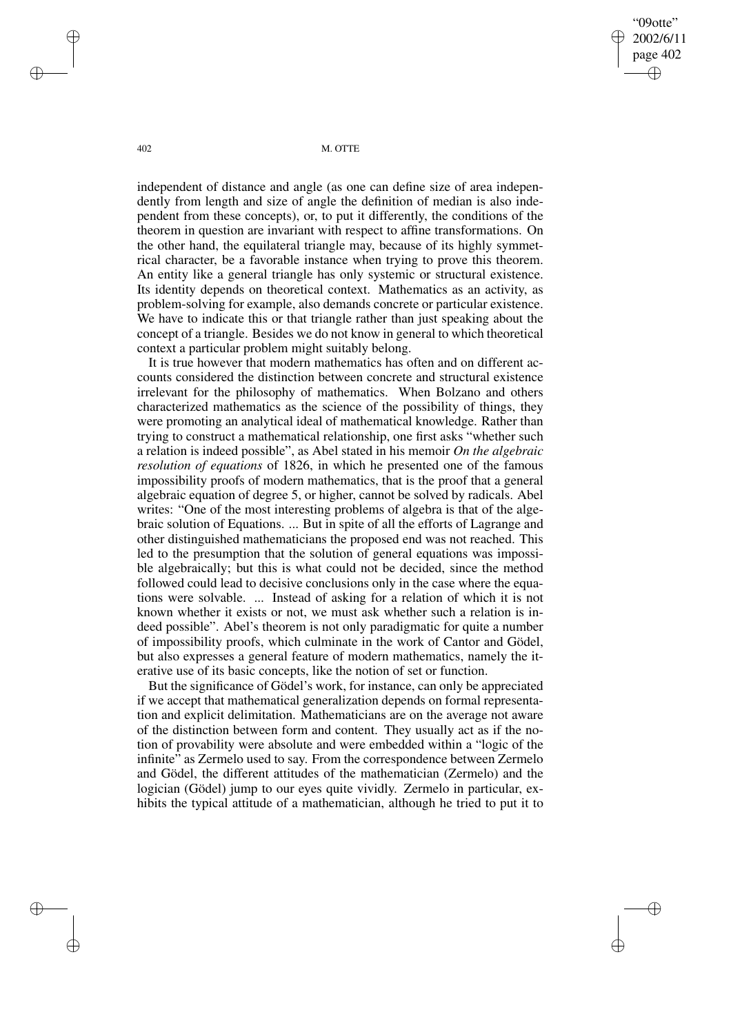"09otte" 2002/6/11 page 402 ✐ ✐

✐

✐

402 M. OTTE

independent of distance and angle (as one can define size of area independently from length and size of angle the definition of median is also independent from these concepts), or, to put it differently, the conditions of the theorem in question are invariant with respect to affine transformations. On the other hand, the equilateral triangle may, because of its highly symmetrical character, be a favorable instance when trying to prove this theorem. An entity like a general triangle has only systemic or structural existence. Its identity depends on theoretical context. Mathematics as an activity, as problem-solving for example, also demands concrete or particular existence. We have to indicate this or that triangle rather than just speaking about the concept of a triangle. Besides we do not know in general to which theoretical context a particular problem might suitably belong.

It is true however that modern mathematics has often and on different accounts considered the distinction between concrete and structural existence irrelevant for the philosophy of mathematics. When Bolzano and others characterized mathematics as the science of the possibility of things, they were promoting an analytical ideal of mathematical knowledge. Rather than trying to construct a mathematical relationship, one first asks "whether such a relation is indeed possible", as Abel stated in his memoir *On the algebraic resolution of equations* of 1826, in which he presented one of the famous impossibility proofs of modern mathematics, that is the proof that a general algebraic equation of degree 5, or higher, cannot be solved by radicals. Abel writes: "One of the most interesting problems of algebra is that of the algebraic solution of Equations. ... But in spite of all the efforts of Lagrange and other distinguished mathematicians the proposed end was not reached. This led to the presumption that the solution of general equations was impossible algebraically; but this is what could not be decided, since the method followed could lead to decisive conclusions only in the case where the equations were solvable. ... Instead of asking for a relation of which it is not known whether it exists or not, we must ask whether such a relation is indeed possible". Abel's theorem is not only paradigmatic for quite a number of impossibility proofs, which culminate in the work of Cantor and Gödel, but also expresses a general feature of modern mathematics, namely the iterative use of its basic concepts, like the notion of set or function.

But the significance of Gödel's work, for instance, can only be appreciated if we accept that mathematical generalization depends on formal representation and explicit delimitation. Mathematicians are on the average not aware of the distinction between form and content. They usually act as if the notion of provability were absolute and were embedded within a "logic of the infinite" as Zermelo used to say. From the correspondence between Zermelo and Gödel, the different attitudes of the mathematician (Zermelo) and the logician (Gödel) jump to our eyes quite vividly. Zermelo in particular, exhibits the typical attitude of a mathematician, although he tried to put it to

✐

✐

✐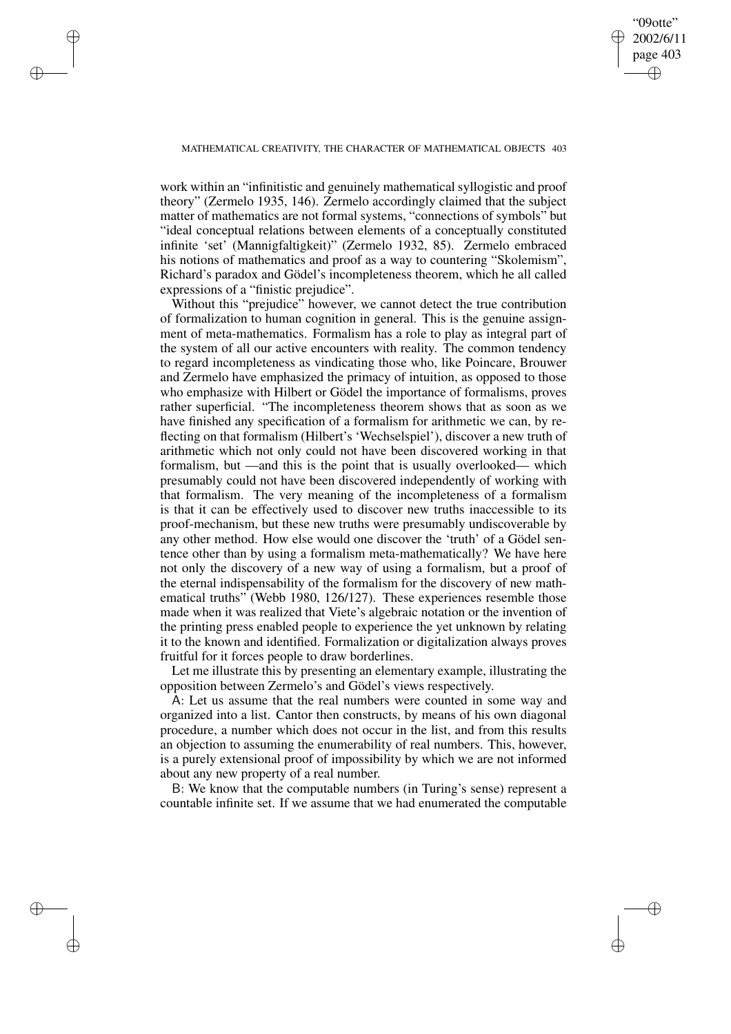## "09otte" 2002/6/11 page 403 ✐ ✐

✐

✐

### MATHEMATICAL CREATIVITY, THE CHARACTER OF MATHEMATICAL OBJECTS 403

✐

✐

✐

✐

work within an "infinitistic and genuinely mathematical syllogistic and proof theory" (Zermelo 1935, 146). Zermelo accordingly claimed that the subject matter of mathematics are not formal systems, "connections of symbols" but "ideal conceptual relations between elements of a conceptually constituted infinite 'set' (Mannigfaltigkeit)" (Zermelo 1932, 85). Zermelo embraced his notions of mathematics and proof as a way to countering "Skolemism", Richard's paradox and Gödel's incompleteness theorem, which he all called expressions of a "finistic prejudice".

Without this "prejudice" however, we cannot detect the true contribution of formalization to human cognition in general. This is the genuine assignment of meta-mathematics. Formalism has a role to play as integral part of the system of all our active encounters with reality. The common tendency to regard incompleteness as vindicating those who, like Poincare, Brouwer and Zermelo have emphasized the primacy of intuition, as opposed to those who emphasize with Hilbert or Gödel the importance of formalisms, proves rather superficial. "The incompleteness theorem shows that as soon as we have finished any specification of a formalism for arithmetic we can, by reflecting on that formalism (Hilbert's 'Wechselspiel'), discover a new truth of arithmetic which not only could not have been discovered working in that formalism, but —and this is the point that is usually overlooked— which presumably could not have been discovered independently of working with that formalism. The very meaning of the incompleteness of a formalism is that it can be effectively used to discover new truths inaccessible to its proof-mechanism, but these new truths were presumably undiscoverable by any other method. How else would one discover the 'truth' of a Gödel sentence other than by using a formalism meta-mathematically? We have here not only the discovery of a new way of using a formalism, but a proof of the eternal indispensability of the formalism for the discovery of new mathematical truths" (Webb 1980, 126/127). These experiences resemble those made when it was realized that Viete's algebraic notation or the invention of the printing press enabled people to experience the yet unknown by relating it to the known and identified. Formalization or digitalization always proves fruitful for it forces people to draw borderlines.

Let me illustrate this by presenting an elementary example, illustrating the opposition between Zermelo's and Gödel's views respectively.

A: Let us assume that the real numbers were counted in some way and organized into a list. Cantor then constructs, by means of his own diagonal procedure, a number which does not occur in the list, and from this results an objection to assuming the enumerability of real numbers. This, however, is a purely extensional proof of impossibility by which we are not informed about any new property of a real number.

B: We know that the computable numbers (in Turing's sense) represent a countable infinite set. If we assume that we had enumerated the computable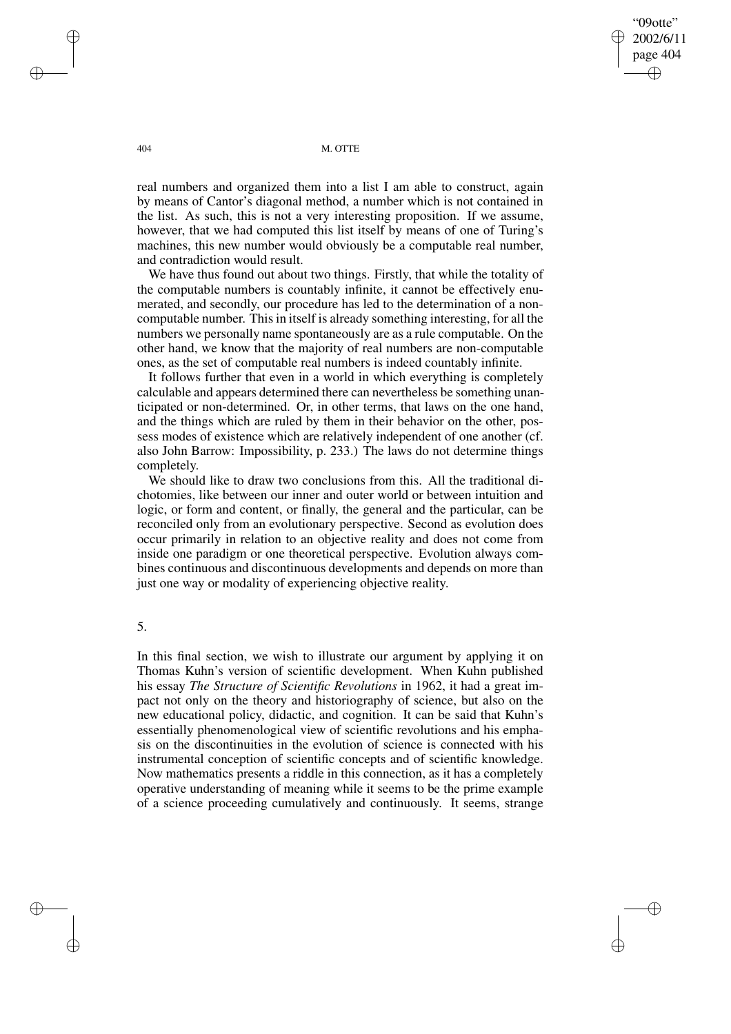"09otte" 2002/6/11 page 404 ✐ ✐

✐

✐

404 M. OTTE

real numbers and organized them into a list I am able to construct, again by means of Cantor's diagonal method, a number which is not contained in the list. As such, this is not a very interesting proposition. If we assume, however, that we had computed this list itself by means of one of Turing's machines, this new number would obviously be a computable real number, and contradiction would result.

We have thus found out about two things. Firstly, that while the totality of the computable numbers is countably infinite, it cannot be effectively enumerated, and secondly, our procedure has led to the determination of a noncomputable number. Thisin itself is already something interesting, for all the numbers we personally name spontaneously are as a rule computable. On the other hand, we know that the majority of real numbers are non-computable ones, as the set of computable real numbers is indeed countably infinite.

It follows further that even in a world in which everything is completely calculable and appears determined there can nevertheless be something unanticipated or non-determined. Or, in other terms, that laws on the one hand, and the things which are ruled by them in their behavior on the other, possess modes of existence which are relatively independent of one another (cf. also John Barrow: Impossibility, p. 233.) The laws do not determine things completely.

We should like to draw two conclusions from this. All the traditional dichotomies, like between our inner and outer world or between intuition and logic, or form and content, or finally, the general and the particular, can be reconciled only from an evolutionary perspective. Second as evolution does occur primarily in relation to an objective reality and does not come from inside one paradigm or one theoretical perspective. Evolution always combines continuous and discontinuous developments and depends on more than just one way or modality of experiencing objective reality.

## 5.

✐

✐

In this final section, we wish to illustrate our argument by applying it on Thomas Kuhn's version of scientific development. When Kuhn published his essay *The Structure of Scientific Revolutions* in 1962, it had a great impact not only on the theory and historiography of science, but also on the new educational policy, didactic, and cognition. It can be said that Kuhn's essentially phenomenological view of scientific revolutions and his emphasis on the discontinuities in the evolution of science is connected with his instrumental conception of scientific concepts and of scientific knowledge. Now mathematics presents a riddle in this connection, as it has a completely operative understanding of meaning while it seems to be the prime example of a science proceeding cumulatively and continuously. It seems, strange

✐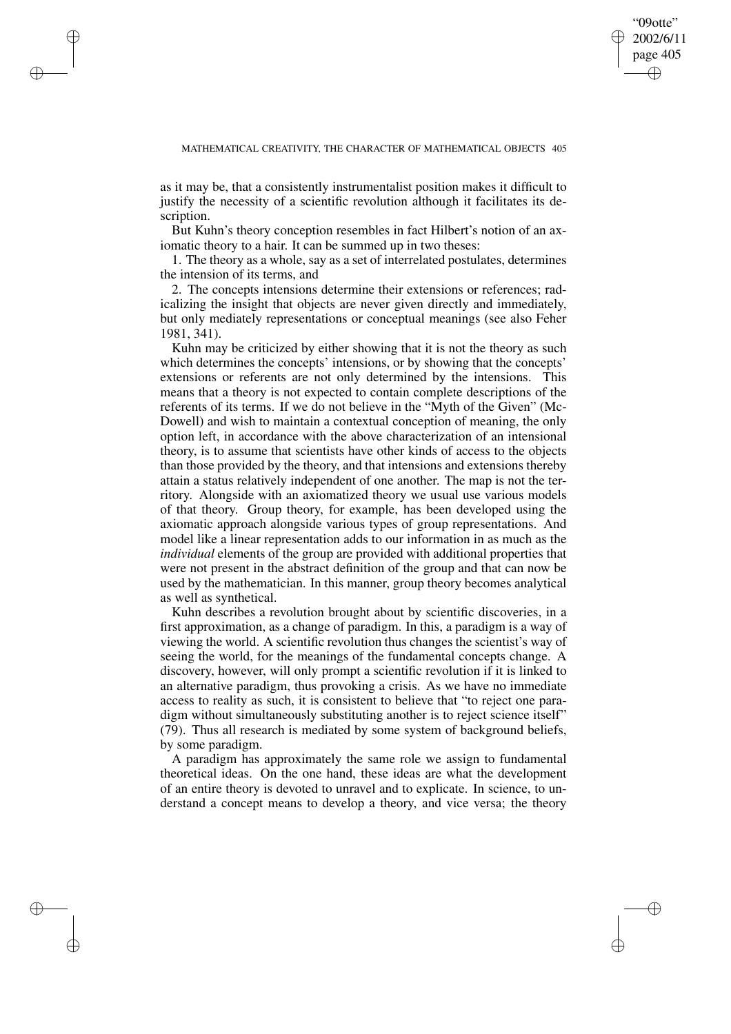## "09otte" 2002/6/11 page 405 ✐ ✐

✐

✐

### MATHEMATICAL CREATIVITY, THE CHARACTER OF MATHEMATICAL OBJECTS 405

as it may be, that a consistently instrumentalist position makes it difficult to justify the necessity of a scientific revolution although it facilitates its description.

✐

✐

✐

✐

But Kuhn's theory conception resembles in fact Hilbert's notion of an axiomatic theory to a hair. It can be summed up in two theses:

1. The theory as a whole, say as a set of interrelated postulates, determines the intension of its terms, and

2. The concepts intensions determine their extensions or references; radicalizing the insight that objects are never given directly and immediately, but only mediately representations or conceptual meanings (see also Feher 1981, 341).

Kuhn may be criticized by either showing that it is not the theory as such which determines the concepts' intensions, or by showing that the concepts' extensions or referents are not only determined by the intensions. This means that a theory is not expected to contain complete descriptions of the referents of its terms. If we do not believe in the "Myth of the Given" (Mc-Dowell) and wish to maintain a contextual conception of meaning, the only option left, in accordance with the above characterization of an intensional theory, is to assume that scientists have other kinds of access to the objects than those provided by the theory, and that intensions and extensions thereby attain a status relatively independent of one another. The map is not the territory. Alongside with an axiomatized theory we usual use various models of that theory. Group theory, for example, has been developed using the axiomatic approach alongside various types of group representations. And model like a linear representation adds to our information in as much as the *individual* elements of the group are provided with additional properties that were not present in the abstract definition of the group and that can now be used by the mathematician. In this manner, group theory becomes analytical as well as synthetical.

Kuhn describes a revolution brought about by scientific discoveries, in a first approximation, as a change of paradigm. In this, a paradigm is a way of viewing the world. A scientific revolution thus changes the scientist's way of seeing the world, for the meanings of the fundamental concepts change. A discovery, however, will only prompt a scientific revolution if it is linked to an alternative paradigm, thus provoking a crisis. As we have no immediate access to reality as such, it is consistent to believe that "to reject one paradigm without simultaneously substituting another is to reject science itself" (79). Thus all research is mediated by some system of background beliefs, by some paradigm.

A paradigm has approximately the same role we assign to fundamental theoretical ideas. On the one hand, these ideas are what the development of an entire theory is devoted to unravel and to explicate. In science, to understand a concept means to develop a theory, and vice versa; the theory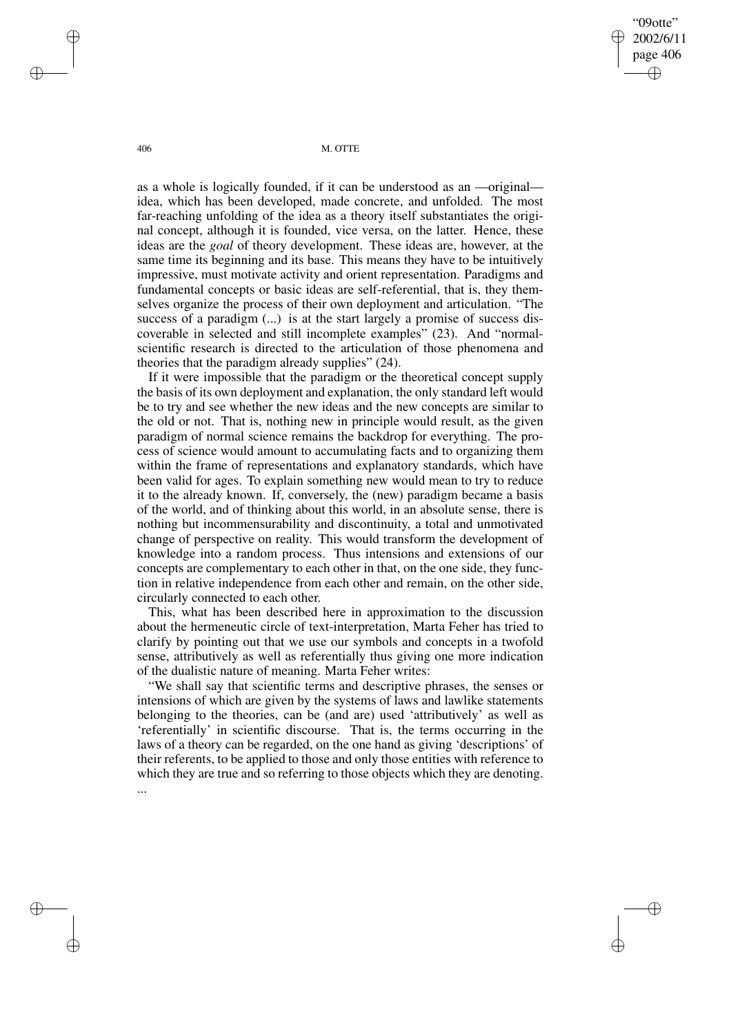"09otte" 2002/6/11 page 406 ✐ ✐

✐

✐

406 M. OTTE

as a whole is logically founded, if it can be understood as an —original idea, which has been developed, made concrete, and unfolded. The most far-reaching unfolding of the idea as a theory itself substantiates the original concept, although it is founded, vice versa, on the latter. Hence, these ideas are the *goal* of theory development. These ideas are, however, at the same time its beginning and its base. This means they have to be intuitively impressive, must motivate activity and orient representation. Paradigms and fundamental concepts or basic ideas are self-referential, that is, they themselves organize the process of their own deployment and articulation. "The success of a paradigm  $(...)$  is at the start largely a promise of success discoverable in selected and still incomplete examples" (23). And "normalscientific research is directed to the articulation of those phenomena and theories that the paradigm already supplies" (24).

If it were impossible that the paradigm or the theoretical concept supply the basis of its own deployment and explanation, the only standard left would be to try and see whether the new ideas and the new concepts are similar to the old or not. That is, nothing new in principle would result, as the given paradigm of normal science remains the backdrop for everything. The process of science would amount to accumulating facts and to organizing them within the frame of representations and explanatory standards, which have been valid for ages. To explain something new would mean to try to reduce it to the already known. If, conversely, the (new) paradigm became a basis of the world, and of thinking about this world, in an absolute sense, there is nothing but incommensurability and discontinuity, a total and unmotivated change of perspective on reality. This would transform the development of knowledge into a random process. Thus intensions and extensions of our concepts are complementary to each other in that, on the one side, they function in relative independence from each other and remain, on the other side, circularly connected to each other.

This, what has been described here in approximation to the discussion about the hermeneutic circle of text-interpretation, Marta Feher has tried to clarify by pointing out that we use our symbols and concepts in a twofold sense, attributively as well as referentially thus giving one more indication of the dualistic nature of meaning. Marta Feher writes:

"We shall say that scientific terms and descriptive phrases, the senses or intensions of which are given by the systems of laws and lawlike statements belonging to the theories, can be (and are) used 'attributively' as well as 'referentially' in scientific discourse. That is, the terms occurring in the laws of a theory can be regarded, on the one hand as giving 'descriptions' of their referents, to be applied to those and only those entities with reference to which they are true and so referring to those objects which they are denoting. ...

✐

✐

✐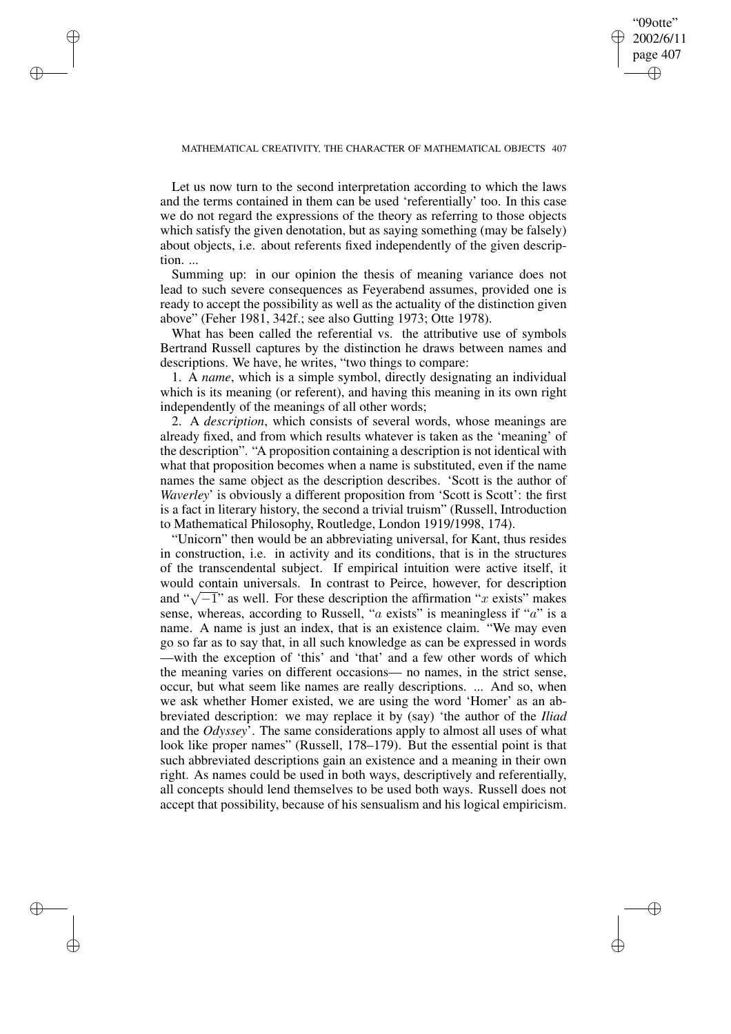## "09otte" 2002/6/11 page 407 ✐ ✐

✐

✐

### MATHEMATICAL CREATIVITY, THE CHARACTER OF MATHEMATICAL OBJECTS 407

✐

✐

✐

✐

Let us now turn to the second interpretation according to which the laws and the terms contained in them can be used 'referentially' too. In this case we do not regard the expressions of the theory as referring to those objects which satisfy the given denotation, but as saying something (may be falsely) about objects, i.e. about referents fixed independently of the given description. ...

Summing up: in our opinion the thesis of meaning variance does not lead to such severe consequences as Feyerabend assumes, provided one is ready to accept the possibility as well as the actuality of the distinction given above" (Feher 1981, 342f.; see also Gutting 1973; Otte 1978).

What has been called the referential vs. the attributive use of symbols Bertrand Russell captures by the distinction he draws between names and descriptions. We have, he writes, "two things to compare:

1. A *name*, which is a simple symbol, directly designating an individual which is its meaning (or referent), and having this meaning in its own right independently of the meanings of all other words;

2. A *description*, which consists of several words, whose meanings are already fixed, and from which results whatever is taken as the 'meaning' of the description". "A proposition containing a description is not identical with what that proposition becomes when a name is substituted, even if the name names the same object as the description describes. 'Scott is the author of *Waverley*' is obviously a different proposition from 'Scott is Scott': the first is a fact in literary history, the second a trivial truism" (Russell, Introduction to Mathematical Philosophy, Routledge, London 1919/1998, 174).

"Unicorn" then would be an abbreviating universal, for Kant, thus resides in construction, i.e. in activity and its conditions, that is in the structures of the transcendental subject. If empirical intuition were active itself, it would contain universals. In contrast to Peirce, however, for description and " $\sqrt{-1}$ " as well. For these description the affirmation "x exists" makes sense, whereas, according to Russell, " $a$  exists" is meaningless if " $a$ " is a name. A name is just an index, that is an existence claim. "We may even go so far as to say that, in all such knowledge as can be expressed in words —with the exception of 'this' and 'that' and a few other words of which the meaning varies on different occasions— no names, in the strict sense, occur, but what seem like names are really descriptions. ... And so, when we ask whether Homer existed, we are using the word 'Homer' as an abbreviated description: we may replace it by (say) 'the author of the *Iliad* and the *Odyssey*'. The same considerations apply to almost all uses of what look like proper names" (Russell, 178–179). But the essential point is that such abbreviated descriptions gain an existence and a meaning in their own right. As names could be used in both ways, descriptively and referentially, all concepts should lend themselves to be used both ways. Russell does not accept that possibility, because of his sensualism and his logical empiricism.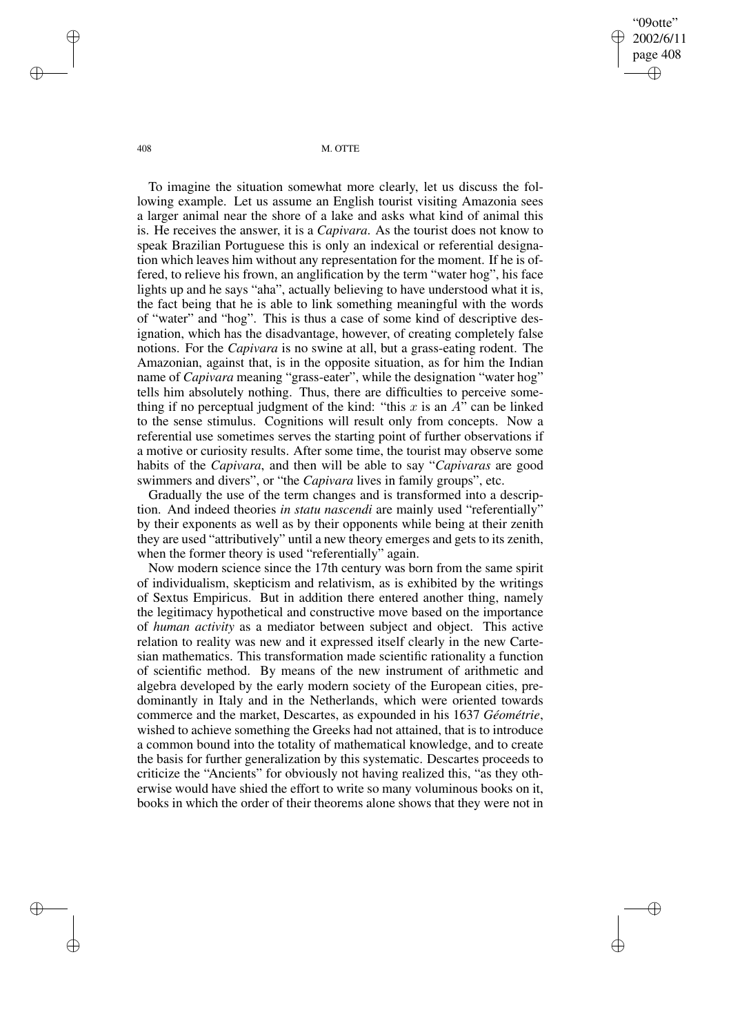"09otte" 2002/6/11 page 408 ✐ ✐

✐

✐

408 M. OTTE

To imagine the situation somewhat more clearly, let us discuss the following example. Let us assume an English tourist visiting Amazonia sees a larger animal near the shore of a lake and asks what kind of animal this is. He receives the answer, it is a *Capivara*. As the tourist does not know to speak Brazilian Portuguese this is only an indexical or referential designation which leaves him without any representation for the moment. If he is offered, to relieve his frown, an anglification by the term "water hog", his face lights up and he says "aha", actually believing to have understood what it is, the fact being that he is able to link something meaningful with the words of "water" and "hog". This is thus a case of some kind of descriptive designation, which has the disadvantage, however, of creating completely false notions. For the *Capivara* is no swine at all, but a grass-eating rodent. The Amazonian, against that, is in the opposite situation, as for him the Indian name of *Capivara* meaning "grass-eater", while the designation "water hog" tells him absolutely nothing. Thus, there are difficulties to perceive something if no perceptual judgment of the kind: "this  $x$  is an  $A$ " can be linked to the sense stimulus. Cognitions will result only from concepts. Now a referential use sometimes serves the starting point of further observations if a motive or curiosity results. After some time, the tourist may observe some habits of the *Capivara*, and then will be able to say "*Capivaras* are good swimmers and divers", or "the *Capivara* lives in family groups", etc.

Gradually the use of the term changes and is transformed into a description. And indeed theories *in statu nascendi* are mainly used "referentially" by their exponents as well as by their opponents while being at their zenith they are used "attributively" until a new theory emerges and gets to its zenith, when the former theory is used "referentially" again.

Now modern science since the 17th century was born from the same spirit of individualism, skepticism and relativism, as is exhibited by the writings of Sextus Empiricus. But in addition there entered another thing, namely the legitimacy hypothetical and constructive move based on the importance of *human activity* as a mediator between subject and object. This active relation to reality was new and it expressed itself clearly in the new Cartesian mathematics. This transformation made scientific rationality a function of scientific method. By means of the new instrument of arithmetic and algebra developed by the early modern society of the European cities, predominantly in Italy and in the Netherlands, which were oriented towards commerce and the market, Descartes, as expounded in his 1637 *Géométrie*, wished to achieve something the Greeks had not attained, that is to introduce a common bound into the totality of mathematical knowledge, and to create the basis for further generalization by this systematic. Descartes proceeds to criticize the "Ancients" for obviously not having realized this, "as they otherwise would have shied the effort to write so many voluminous books on it, books in which the order of their theorems alone shows that they were not in

✐

✐

✐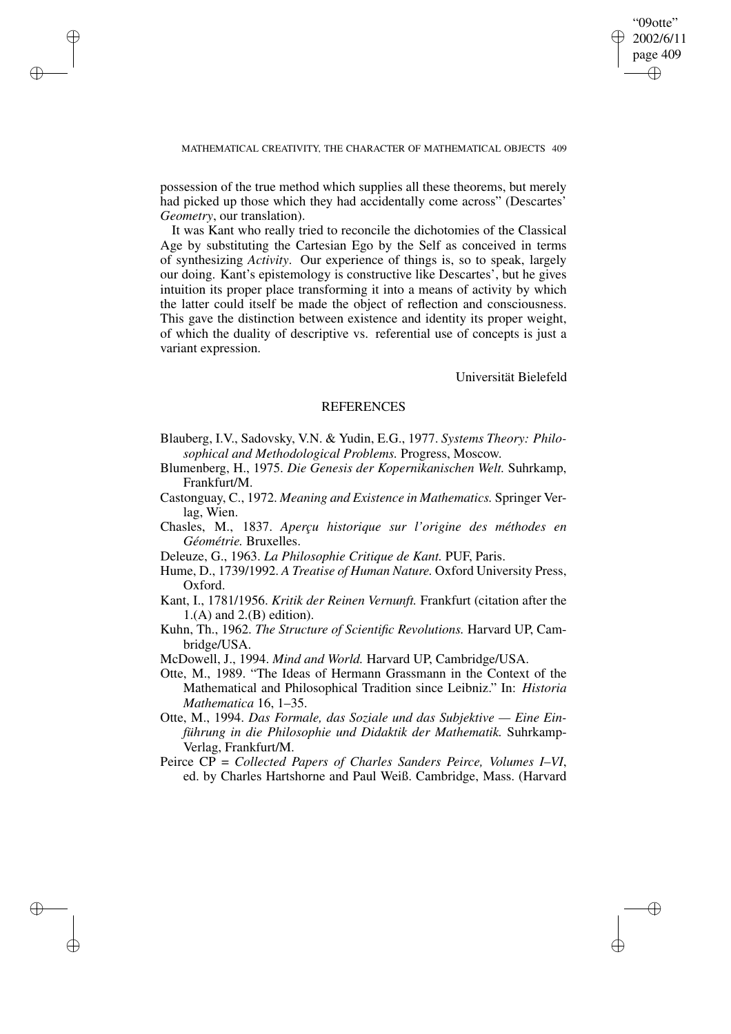✐

### MATHEMATICAL CREATIVITY, THE CHARACTER OF MATHEMATICAL OBJECTS 409

possession of the true method which supplies all these theorems, but merely had picked up those which they had accidentally come across" (Descartes' *Geometry*, our translation).

✐

✐

✐

✐

It was Kant who really tried to reconcile the dichotomies of the Classical Age by substituting the Cartesian Ego by the Self as conceived in terms of synthesizing *Activity*. Our experience of things is, so to speak, largely our doing. Kant's epistemology is constructive like Descartes', but he gives intuition its proper place transforming it into a means of activity by which the latter could itself be made the object of reflection and consciousness. This gave the distinction between existence and identity its proper weight, of which the duality of descriptive vs. referential use of concepts is just a variant expression.

Universität Bielefeld

## REFERENCES

- Blauberg, I.V., Sadovsky, V.N. & Yudin, E.G., 1977. *Systems Theory: Philosophical and Methodological Problems.* Progress, Moscow.
- Blumenberg, H., 1975. *Die Genesis der Kopernikanischen Welt.* Suhrkamp, Frankfurt/M.
- Castonguay, C., 1972. *Meaning and Existence in Mathematics.* Springer Verlag, Wien.
- Chasles, M., 1837. *Aperçu historique sur l'origine des méthodes en Géométrie.* Bruxelles.
- Deleuze, G., 1963. *La Philosophie Critique de Kant.* PUF, Paris.
- Hume, D., 1739/1992. *A Treatise of Human Nature.* Oxford University Press, Oxford.
- Kant, I., 1781/1956. *Kritik der Reinen Vernunft.* Frankfurt (citation after the  $1.(A)$  and  $2.(B)$  edition).
- Kuhn, Th., 1962. *The Structure of Scientific Revolutions.* Harvard UP, Cambridge/USA.
- McDowell, J., 1994. *Mind and World.* Harvard UP, Cambridge/USA.
- Otte, M., 1989. "The Ideas of Hermann Grassmann in the Context of the Mathematical and Philosophical Tradition since Leibniz." In: *Historia Mathematica* 16, 1–35.
- Otte, M., 1994. *Das Formale, das Soziale und das Subjektive — Eine Einführung in die Philosophie und Didaktik der Mathematik.* Suhrkamp-Verlag, Frankfurt/M.
- Peirce CP = *Collected Papers of Charles Sanders Peirce, Volumes I–VI*, ed. by Charles Hartshorne and Paul Weiß. Cambridge, Mass. (Harvard